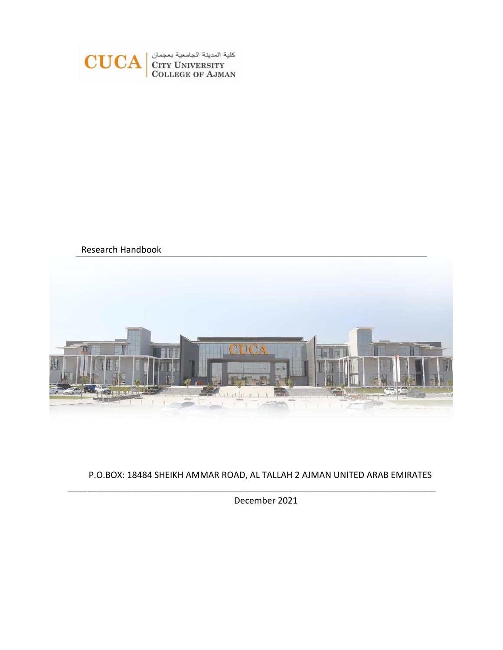

Research Handbook



P.O.BOX: 18484 SHEIKH AMMAR ROAD, AL TALLAH 2 AJMAN UNITED ARAB EMIRATES

\_\_\_\_\_\_\_\_\_\_\_\_\_\_\_\_\_\_\_\_\_\_\_\_\_\_\_\_\_\_\_\_\_\_\_\_\_\_\_\_\_\_\_\_\_\_\_\_\_\_\_\_\_\_\_\_\_\_\_\_\_\_\_\_\_\_\_\_\_\_\_\_\_\_\_

December 2021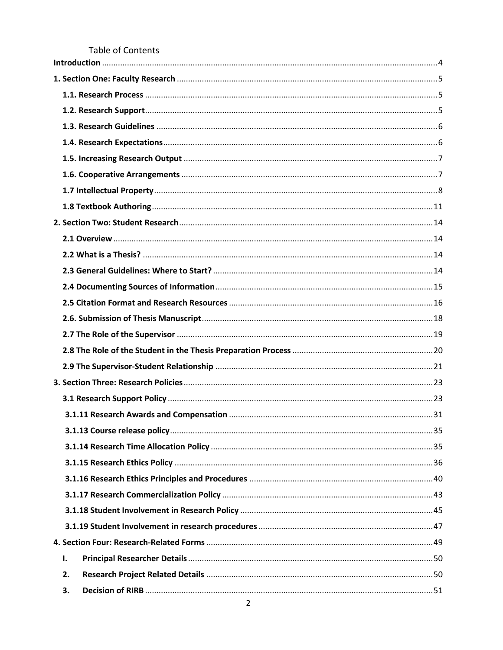Table of Contents

| ı. |  |
|----|--|
| 2. |  |
| 3. |  |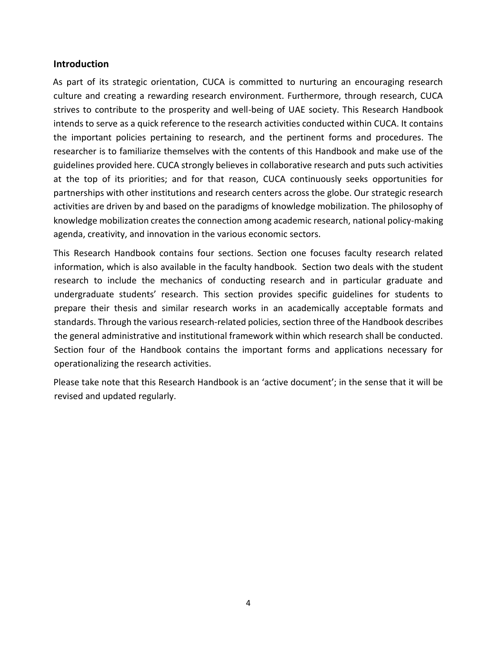#### <span id="page-3-0"></span>**Introduction**

As part of its strategic orientation, CUCA is committed to nurturing an encouraging research culture and creating a rewarding research environment. Furthermore, through research, CUCA strives to contribute to the prosperity and well-being of UAE society. This Research Handbook intends to serve as a quick reference to the research activities conducted within CUCA. It contains the important policies pertaining to research, and the pertinent forms and procedures. The researcher is to familiarize themselves with the contents of this Handbook and make use of the guidelines provided here. CUCA strongly believes in collaborative research and puts such activities at the top of its priorities; and for that reason, CUCA continuously seeks opportunities for partnerships with other institutions and research centers across the globe. Our strategic research activities are driven by and based on the paradigms of knowledge mobilization. The philosophy of knowledge mobilization creates the connection among academic research, national policy-making agenda, creativity, and innovation in the various economic sectors.

This Research Handbook contains four sections. Section one focuses faculty research related information, which is also available in the faculty handbook. Section two deals with the student research to include the mechanics of conducting research and in particular graduate and undergraduate students' research. This section provides specific guidelines for students to prepare their thesis and similar research works in an academically acceptable formats and standards. Through the various research-related policies, section three of the Handbook describes the general administrative and institutional framework within which research shall be conducted. Section four of the Handbook contains the important forms and applications necessary for operationalizing the research activities.

Please take note that this Research Handbook is an 'active document'; in the sense that it will be revised and updated regularly.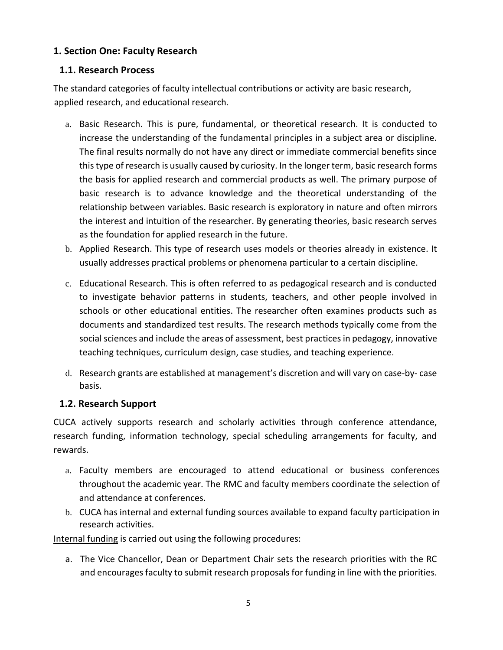# <span id="page-4-0"></span>**1. Section One: Faculty Research**

# <span id="page-4-1"></span>**1.1. Research Process**

The standard categories of faculty intellectual contributions or activity are basic research, applied research, and educational research.

- a. Basic Research. This is pure, fundamental, or theoretical research. It is conducted to increase the understanding of the fundamental principles in a subject area or discipline. The final results normally do not have any direct or immediate commercial benefits since this type of research is usually caused by curiosity. In the longer term, basic research forms the basis for applied research and commercial products as well. The primary purpose of basic research is to advance knowledge and the theoretical understanding of the relationship between variables. Basic research is exploratory in nature and often mirrors the interest and intuition of the researcher. By generating theories, basic research serves as the foundation for applied research in the future.
- b. Applied Research. This type of research uses models or theories already in existence. It usually addresses practical problems or phenomena particular to a certain discipline.
- c. Educational Research. This is often referred to as pedagogical research and is conducted to investigate behavior patterns in students, teachers, and other people involved in schools or other educational entities. The researcher often examines products such as documents and standardized test results. The research methods typically come from the social sciences and include the areas of assessment, best practices in pedagogy, innovative teaching techniques, curriculum design, case studies, and teaching experience.
- d. Research grants are established at management's discretion and will vary on case‐by‐ case basis.

# <span id="page-4-2"></span>**1.2. Research Support**

CUCA actively supports research and scholarly activities through conference attendance, research funding, information technology, special scheduling arrangements for faculty, and rewards.

- a. Faculty members are encouraged to attend educational or business conferences throughout the academic year. The RMC and faculty members coordinate the selection of and attendance at conferences.
- b. CUCA has internal and external funding sources available to expand faculty participation in research activities.

Internal funding is carried out using the following procedures:

a. The Vice Chancellor, Dean or Department Chair sets the research priorities with the RC and encourages faculty to submit research proposals for funding in line with the priorities.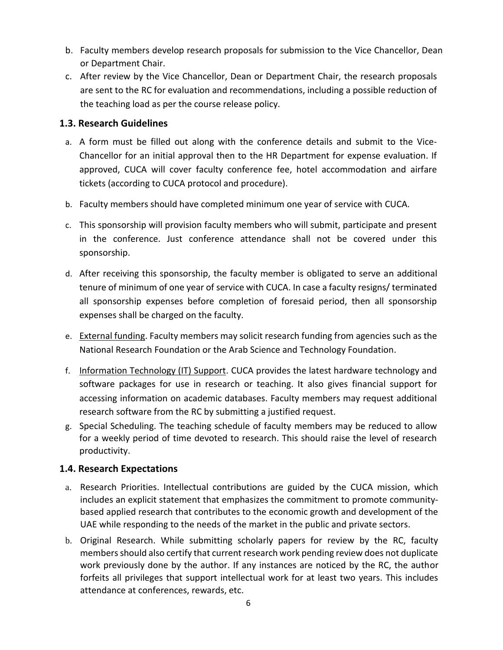- b. Faculty members develop research proposals for submission to the Vice Chancellor, Dean or Department Chair.
- c. After review by the Vice Chancellor, Dean or Department Chair, the research proposals are sent to the RC for evaluation and recommendations, including a possible reduction of the teaching load as per the course release policy.

# <span id="page-5-0"></span>**1.3. Research Guidelines**

- a. A form must be filled out along with the conference details and submit to the Vice‐ Chancellor for an initial approval then to the HR Department for expense evaluation. If approved, CUCA will cover faculty conference fee, hotel accommodation and airfare tickets (according to CUCA protocol and procedure).
- b. Faculty members should have completed minimum one year of service with CUCA.
- c. This sponsorship will provision faculty members who will submit, participate and present in the conference. Just conference attendance shall not be covered under this sponsorship.
- d. After receiving this sponsorship, the faculty member is obligated to serve an additional tenure of minimum of one year of service with CUCA. In case a faculty resigns/ terminated all sponsorship expenses before completion of foresaid period, then all sponsorship expenses shall be charged on the faculty.
- e. External funding. Faculty members may solicit research funding from agencies such as the National Research Foundation or the Arab Science and Technology Foundation.
- f. Information Technology (IT) Support. CUCA provides the latest hardware technology and software packages for use in research or teaching. It also gives financial support for accessing information on academic databases. Faculty members may request additional research software from the RC by submitting a justified request.
- g. Special Scheduling. The teaching schedule of faculty members may be reduced to allow for a weekly period of time devoted to research. This should raise the level of research productivity.

# <span id="page-5-1"></span>**1.4. Research Expectations**

- a. Research Priorities. Intellectual contributions are guided by the CUCA mission, which includes an explicit statement that emphasizes the commitment to promote community‐ based applied research that contributes to the economic growth and development of the UAE while responding to the needs of the market in the public and private sectors.
- b. Original Research. While submitting scholarly papers for review by the RC, faculty members should also certify that current research work pending review does not duplicate work previously done by the author. If any instances are noticed by the RC, the author forfeits all privileges that support intellectual work for at least two years. This includes attendance at conferences, rewards, etc.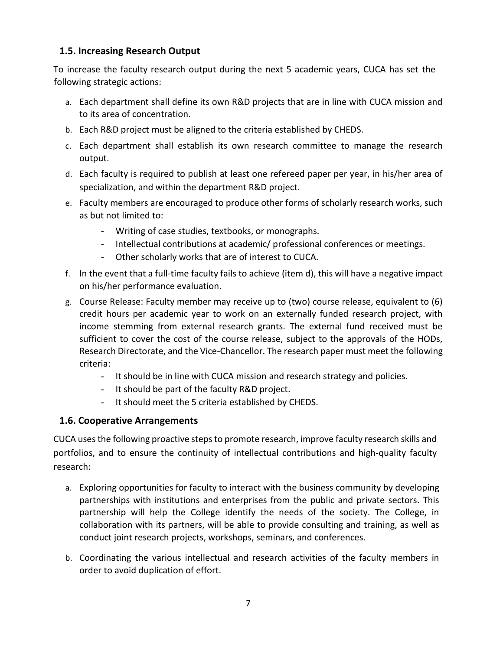# <span id="page-6-0"></span>**1.5. Increasing Research Output**

To increase the faculty research output during the next 5 academic years, CUCA has set the following strategic actions:

- a. Each department shall define its own R&D projects that are in line with CUCA mission and to its area of concentration.
- b. Each R&D project must be aligned to the criteria established by CHEDS.
- c. Each department shall establish its own research committee to manage the research output.
- d. Each faculty is required to publish at least one refereed paper per year, in his/her area of specialization, and within the department R&D project.
- e. Faculty members are encouraged to produce other forms of scholarly research works, such as but not limited to:
	- Writing of case studies, textbooks, or monographs.
	- Intellectual contributions at academic/ professional conferences or meetings.
	- Other scholarly works that are of interest to CUCA.
- f. In the event that a full‐time faculty fails to achieve (item d), this will have a negative impact on his/her performance evaluation.
- g. Course Release: Faculty member may receive up to (two) course release, equivalent to (6) credit hours per academic year to work on an externally funded research project, with income stemming from external research grants. The external fund received must be sufficient to cover the cost of the course release, subject to the approvals of the HODs, Research Directorate, and the Vice-Chancellor. The research paper must meet the following criteria:
	- It should be in line with CUCA mission and research strategy and policies.
	- It should be part of the faculty R&D project.
	- It should meet the 5 criteria established by CHEDS.

# <span id="page-6-1"></span>**1.6. Cooperative Arrangements**

CUCA uses the following proactive steps to promote research, improve faculty research skills and portfolios, and to ensure the continuity of intellectual contributions and high‐quality faculty research:

- a. Exploring opportunities for faculty to interact with the business community by developing partnerships with institutions and enterprises from the public and private sectors. This partnership will help the College identify the needs of the society. The College, in collaboration with its partners, will be able to provide consulting and training, as well as conduct joint research projects, workshops, seminars, and conferences.
- b. Coordinating the various intellectual and research activities of the faculty members in order to avoid duplication of effort.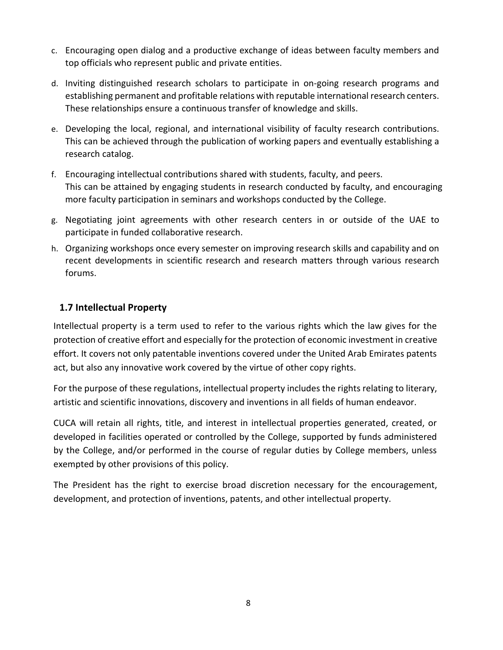- c. Encouraging open dialog and a productive exchange of ideas between faculty members and top officials who represent public and private entities.
- d. Inviting distinguished research scholars to participate in on‐going research programs and establishing permanent and profitable relations with reputable international research centers. These relationships ensure a continuous transfer of knowledge and skills.
- e. Developing the local, regional, and international visibility of faculty research contributions. This can be achieved through the publication of working papers and eventually establishing a research catalog.
- f. Encouraging intellectual contributions shared with students, faculty, and peers. This can be attained by engaging students in research conducted by faculty, and encouraging more faculty participation in seminars and workshops conducted by the College.
- g. Negotiating joint agreements with other research centers in or outside of the UAE to participate in funded collaborative research.
- h. Organizing workshops once every semester on improving research skills and capability and on recent developments in scientific research and research matters through various research forums.

# <span id="page-7-0"></span>**1.7 Intellectual Property**

Intellectual property is a term used to refer to the various rights which the law gives for the protection of creative effort and especially for the protection of economic investment in creative effort. It covers not only patentable inventions covered under the United Arab Emirates patents act, but also any innovative work covered by the virtue of other copy rights.

For the purpose of these regulations, intellectual property includes the rights relating to literary, artistic and scientific innovations, discovery and inventions in all fields of human endeavor.

CUCA will retain all rights, title, and interest in intellectual properties generated, created, or developed in facilities operated or controlled by the College, supported by funds administered by the College, and/or performed in the course of regular duties by College members, unless exempted by other provisions of this policy.

The President has the right to exercise broad discretion necessary for the encouragement, development, and protection of inventions, patents, and other intellectual property.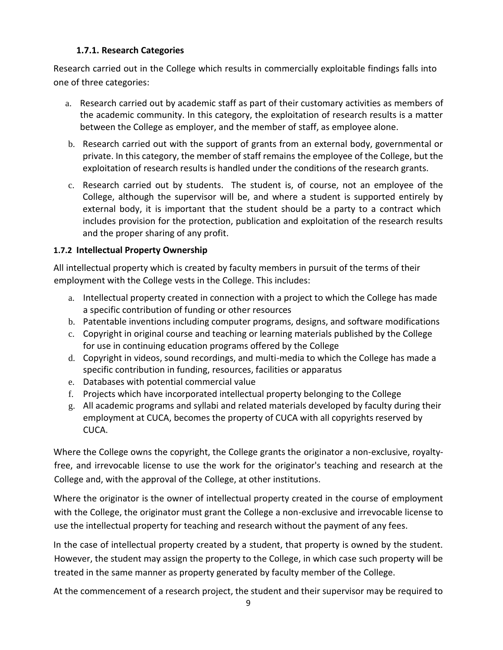# **1.7.1. Research Categories**

Research carried out in the College which results in commercially exploitable findings falls into one of three categories:

- a. Research carried out by academic staff as part of their customary activities as members of the academic community. In this category, the exploitation of research results is a matter between the College as employer, and the member of staff, as employee alone.
- b. Research carried out with the support of grants from an external body, governmental or private. In this category, the member of staff remains the employee of the College, but the exploitation of research results is handled under the conditions of the research grants.
- c. Research carried out by students. The student is, of course, not an employee of the College, although the supervisor will be, and where a student is supported entirely by external body, it is important that the student should be a party to a contract which includes provision for the protection, publication and exploitation of the research results and the proper sharing of any profit.

# **1.7.2 Intellectual Property Ownership**

All intellectual property which is created by faculty members in pursuit of the terms of their employment with the College vests in the College. This includes:

- a. Intellectual property created in connection with a project to which the College has made a specific contribution of funding or other resources
- b. Patentable inventions including computer programs, designs, and software modifications
- c. Copyright in original course and teaching or learning materials published by the College for use in continuing education programs offered by the College
- d. Copyright in videos, sound recordings, and multi-media to which the College has made a specific contribution in funding, resources, facilities or apparatus
- e. Databases with potential commercial value
- f. Projects which have incorporated intellectual property belonging to the College
- g. All academic programs and syllabi and related materials developed by faculty during their employment at CUCA, becomes the property of CUCA with all copyrights reserved by CUCA.

Where the College owns the copyright, the College grants the originator a non-exclusive, royaltyfree, and irrevocable license to use the work for the originator's teaching and research at the College and, with the approval of the College, at other institutions.

Where the originator is the owner of intellectual property created in the course of employment with the College, the originator must grant the College a non-exclusive and irrevocable license to use the intellectual property for teaching and research without the payment of any fees.

In the case of intellectual property created by a student, that property is owned by the student. However, the student may assign the property to the College, in which case such property will be treated in the same manner as property generated by faculty member of the College.

At the commencement of a research project, the student and their supervisor may be required to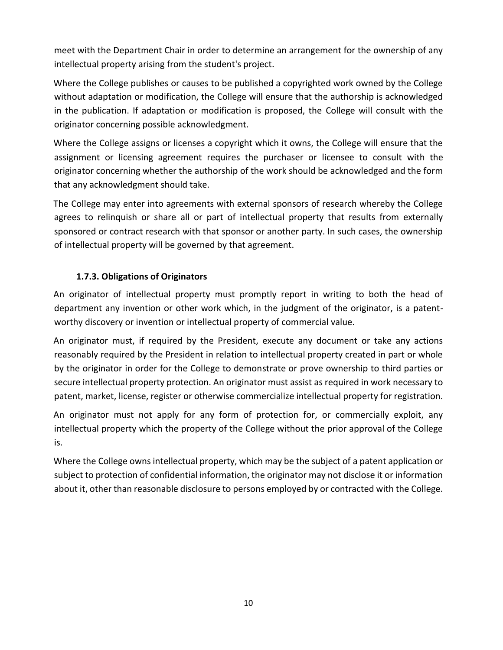meet with the Department Chair in order to determine an arrangement for the ownership of any intellectual property arising from the student's project.

Where the College publishes or causes to be published a copyrighted work owned by the College without adaptation or modification, the College will ensure that the authorship is acknowledged in the publication. If adaptation or modification is proposed, the College will consult with the originator concerning possible acknowledgment.

Where the College assigns or licenses a copyright which it owns, the College will ensure that the assignment or licensing agreement requires the purchaser or licensee to consult with the originator concerning whether the authorship of the work should be acknowledged and the form that any acknowledgment should take.

The College may enter into agreements with external sponsors of research whereby the College agrees to relinquish or share all or part of intellectual property that results from externally sponsored or contract research with that sponsor or another party. In such cases, the ownership of intellectual property will be governed by that agreement.

# **1.7.3. Obligations of Originators**

An originator of intellectual property must promptly report in writing to both the head of department any invention or other work which, in the judgment of the originator, is a patentworthy discovery or invention or intellectual property of commercial value.

An originator must, if required by the President, execute any document or take any actions reasonably required by the President in relation to intellectual property created in part or whole by the originator in order for the College to demonstrate or prove ownership to third parties or secure intellectual property protection. An originator must assist as required in work necessary to patent, market, license, register or otherwise commercialize intellectual property for registration.

An originator must not apply for any form of protection for, or commercially exploit, any intellectual property which the property of the College without the prior approval of the College is.

Where the College owns intellectual property, which may be the subject of a patent application or subject to protection of confidential information, the originator may not disclose it or information about it, other than reasonable disclosure to persons employed by or contracted with the College.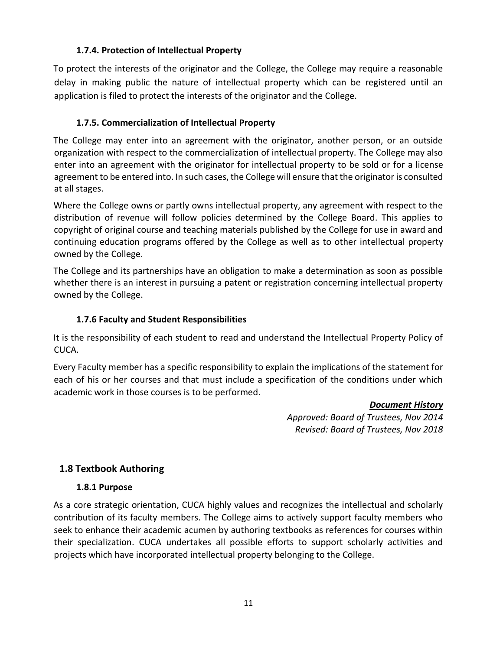# **1.7.4. Protection of Intellectual Property**

To protect the interests of the originator and the College, the College may require a reasonable delay in making public the nature of intellectual property which can be registered until an application is filed to protect the interests of the originator and the College.

# **1.7.5. Commercialization of Intellectual Property**

The College may enter into an agreement with the originator, another person, or an outside organization with respect to the commercialization of intellectual property. The College may also enter into an agreement with the originator for intellectual property to be sold or for a license agreement to be entered into. In such cases, the College will ensure that the originator is consulted at all stages.

Where the College owns or partly owns intellectual property, any agreement with respect to the distribution of revenue will follow policies determined by the College Board. This applies to copyright of original course and teaching materials published by the College for use in award and continuing education programs offered by the College as well as to other intellectual property owned by the College.

The College and its partnerships have an obligation to make a determination as soon as possible whether there is an interest in pursuing a patent or registration concerning intellectual property owned by the College.

# **1.7.6 Faculty and Student Responsibilities**

It is the responsibility of each student to read and understand the Intellectual Property Policy of CUCA.

Every Faculty member has a specific responsibility to explain the implications of the statement for each of his or her courses and that must include a specification of the conditions under which academic work in those courses is to be performed.

#### *Document History*

*Approved: Board of Trustees, Nov 2014 Revised: Board of Trustees, Nov 2018*

# <span id="page-10-0"></span>**1.8 Textbook Authoring**

# **1.8.1 Purpose**

As a core strategic orientation, CUCA highly values and recognizes the intellectual and scholarly contribution of its faculty members. The College aims to actively support faculty members who seek to enhance their academic acumen by authoring textbooks as references for courses within their specialization. CUCA undertakes all possible efforts to support scholarly activities and projects which have incorporated intellectual property belonging to the College.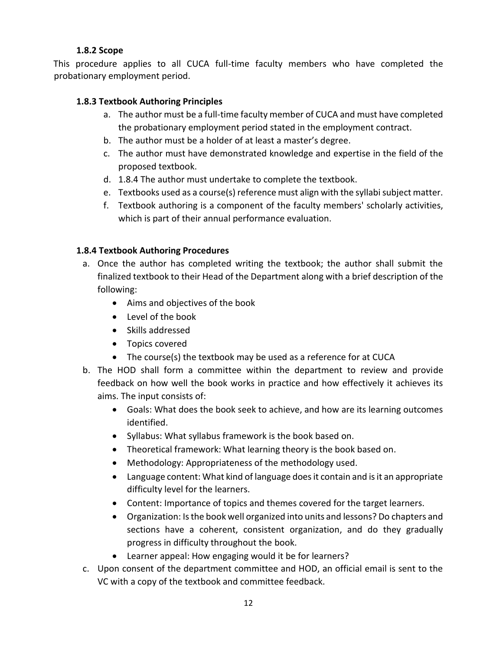## **1.8.2 Scope**

This procedure applies to all CUCA full-time faculty members who have completed the probationary employment period.

# **1.8.3 Textbook Authoring Principles**

- a. The author must be a full-time faculty member of CUCA and must have completed the probationary employment period stated in the employment contract.
- b. The author must be a holder of at least a master's degree.
- c. The author must have demonstrated knowledge and expertise in the field of the proposed textbook.
- d. 1.8.4 The author must undertake to complete the textbook.
- e. Textbooks used as a course(s) reference must align with the syllabi subject matter.
- f. Textbook authoring is a component of the faculty members' scholarly activities, which is part of their annual performance evaluation.

# **1.8.4 Textbook Authoring Procedures**

- a. Once the author has completed writing the textbook; the author shall submit the finalized textbook to their Head of the Department along with a brief description of the following:
	- Aims and objectives of the book
	- Level of the book
	- Skills addressed
	- Topics covered
	- The course(s) the textbook may be used as a reference for at CUCA
- b. The HOD shall form a committee within the department to review and provide feedback on how well the book works in practice and how effectively it achieves its aims. The input consists of:
	- Goals: What does the book seek to achieve, and how are its learning outcomes identified.
	- Syllabus: What syllabus framework is the book based on.
	- Theoretical framework: What learning theory is the book based on.
	- Methodology: Appropriateness of the methodology used.
	- Language content: What kind of language does it contain and is it an appropriate difficulty level for the learners.
	- Content: Importance of topics and themes covered for the target learners.
	- Organization: Is the book well organized into units and lessons? Do chapters and sections have a coherent, consistent organization, and do they gradually progress in difficulty throughout the book.
	- Learner appeal: How engaging would it be for learners?
- c. Upon consent of the department committee and HOD, an official email is sent to the VC with a copy of the textbook and committee feedback.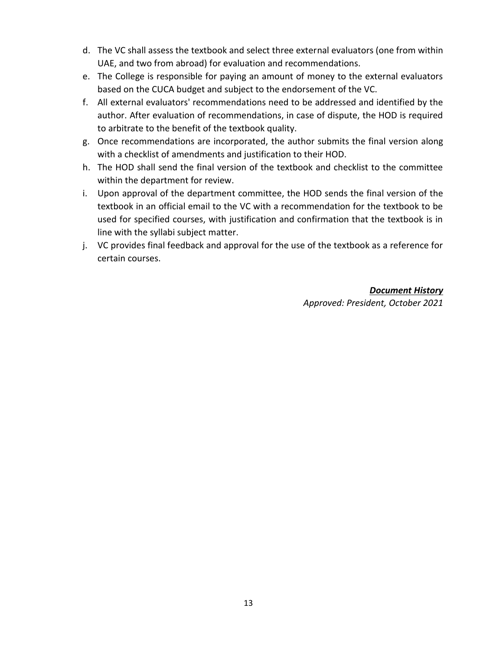- d. The VC shall assess the textbook and select three external evaluators (one from within UAE, and two from abroad) for evaluation and recommendations.
- e. The College is responsible for paying an amount of money to the external evaluators based on the CUCA budget and subject to the endorsement of the VC.
- f. All external evaluators' recommendations need to be addressed and identified by the author. After evaluation of recommendations, in case of dispute, the HOD is required to arbitrate to the benefit of the textbook quality.
- g. Once recommendations are incorporated, the author submits the final version along with a checklist of amendments and justification to their HOD.
- h. The HOD shall send the final version of the textbook and checklist to the committee within the department for review.
- i. Upon approval of the department committee, the HOD sends the final version of the textbook in an official email to the VC with a recommendation for the textbook to be used for specified courses, with justification and confirmation that the textbook is in line with the syllabi subject matter.
- j. VC provides final feedback and approval for the use of the textbook as a reference for certain courses.

#### *Document History Approved: President, October 2021*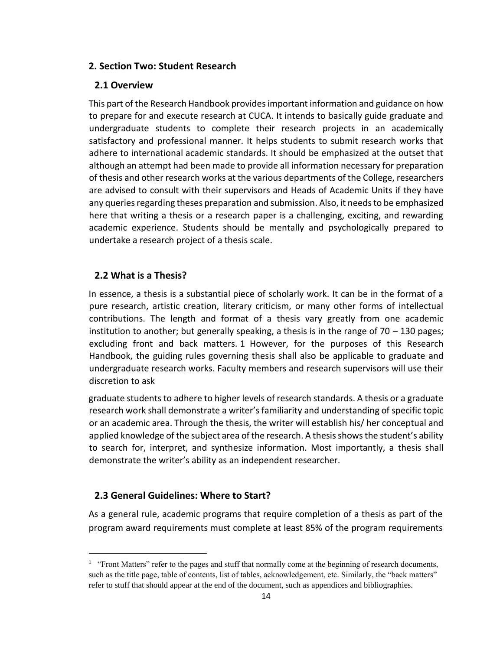#### <span id="page-13-0"></span>**2. Section Two: Student Research**

#### <span id="page-13-1"></span>**2.1 Overview**

This part of the Research Handbook provides important information and guidance on how to prepare for and execute research at CUCA. It intends to basically guide graduate and undergraduate students to complete their research projects in an academically satisfactory and professional manner. It helps students to submit research works that adhere to international academic standards. It should be emphasized at the outset that although an attempt had been made to provide all information necessary for preparation of thesis and other research works at the various departments of the College, researchers are advised to consult with their supervisors and Heads of Academic Units if they have any queries regarding theses preparation and submission. Also, it needs to be emphasized here that writing a thesis or a research paper is a challenging, exciting, and rewarding academic experience. Students should be mentally and psychologically prepared to undertake a research project of a thesis scale.

#### <span id="page-13-2"></span>**2.2 What is a Thesis?**

In essence, a thesis is a substantial piece of scholarly work. It can be in the format of a pure research, artistic creation, literary criticism, or many other forms of intellectual contributions. The length and format of a thesis vary greatly from one academic institution to another; but generally speaking, a thesis is in the range of  $70 - 130$  pages; excluding front and back matters. 1 However, for the purposes of this Research Handbook, the guiding rules governing thesis shall also be applicable to graduate and undergraduate research works. Faculty members and research supervisors will use their discretion to ask

graduate students to adhere to higher levels of research standards. A thesis or a graduate research work shall demonstrate a writer's familiarity and understanding of specific topic or an academic area. Through the thesis, the writer will establish his/ her conceptual and applied knowledge of the subject area of the research. A thesis shows the student's ability to search for, interpret, and synthesize information. Most importantly, a thesis shall demonstrate the writer's ability as an independent researcher.

#### <span id="page-13-3"></span>**2.3 General Guidelines: Where to Start?**

As a general rule, academic programs that require completion of a thesis as part of the program award requirements must complete at least 85% of the program requirements

<sup>&</sup>lt;sup>1</sup> "Front Matters" refer to the pages and stuff that normally come at the beginning of research documents, such as the title page, table of contents, list of tables, acknowledgement, etc. Similarly, the "back matters" refer to stuff that should appear at the end of the document, such as appendices and bibliographies.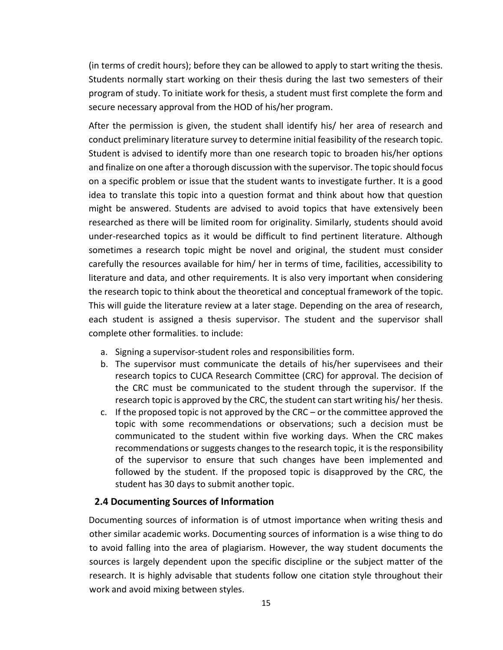(in terms of credit hours); before they can be allowed to apply to start writing the thesis. Students normally start working on their thesis during the last two semesters of their program of study. To initiate work for thesis, a student must first complete the form and secure necessary approval from the HOD of his/her program.

After the permission is given, the student shall identify his/ her area of research and conduct preliminary literature survey to determine initial feasibility of the research topic. Student is advised to identify more than one research topic to broaden his/her options and finalize on one after a thorough discussion with the supervisor. The topic should focus on a specific problem or issue that the student wants to investigate further. It is a good idea to translate this topic into a question format and think about how that question might be answered. Students are advised to avoid topics that have extensively been researched as there will be limited room for originality. Similarly, students should avoid under-researched topics as it would be difficult to find pertinent literature. Although sometimes a research topic might be novel and original, the student must consider carefully the resources available for him/ her in terms of time, facilities, accessibility to literature and data, and other requirements. It is also very important when considering the research topic to think about the theoretical and conceptual framework of the topic. This will guide the literature review at a later stage. Depending on the area of research, each student is assigned a thesis supervisor. The student and the supervisor shall complete other formalities. to include:

- a. Signing a supervisor-student roles and responsibilities form.
- b. The supervisor must communicate the details of his/her supervisees and their research topics to CUCA Research Committee (CRC) for approval. The decision of the CRC must be communicated to the student through the supervisor. If the research topic is approved by the CRC, the student can start writing his/ her thesis.
- c. If the proposed topic is not approved by the CRC or the committee approved the topic with some recommendations or observations; such a decision must be communicated to the student within five working days. When the CRC makes recommendations or suggests changes to the research topic, it is the responsibility of the supervisor to ensure that such changes have been implemented and followed by the student. If the proposed topic is disapproved by the CRC, the student has 30 days to submit another topic.

#### <span id="page-14-0"></span>**2.4 Documenting Sources of Information**

Documenting sources of information is of utmost importance when writing thesis and other similar academic works. Documenting sources of information is a wise thing to do to avoid falling into the area of plagiarism. However, the way student documents the sources is largely dependent upon the specific discipline or the subject matter of the research. It is highly advisable that students follow one citation style throughout their work and avoid mixing between styles.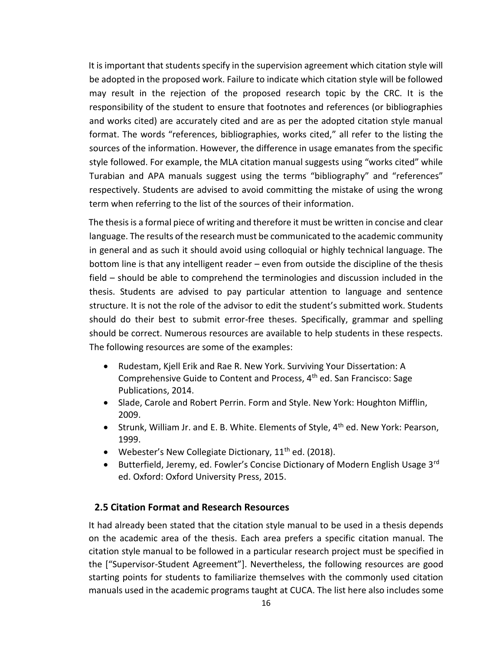It is important that students specify in the supervision agreement which citation style will be adopted in the proposed work. Failure to indicate which citation style will be followed may result in the rejection of the proposed research topic by the CRC. It is the responsibility of the student to ensure that footnotes and references (or bibliographies and works cited) are accurately cited and are as per the adopted citation style manual format. The words "references, bibliographies, works cited," all refer to the listing the sources of the information. However, the difference in usage emanates from the specific style followed. For example, the MLA citation manual suggests using "works cited" while Turabian and APA manuals suggest using the terms "bibliography" and "references" respectively. Students are advised to avoid committing the mistake of using the wrong term when referring to the list of the sources of their information.

The thesis is a formal piece of writing and therefore it must be written in concise and clear language. The results of the research must be communicated to the academic community in general and as such it should avoid using colloquial or highly technical language. The bottom line is that any intelligent reader – even from outside the discipline of the thesis field – should be able to comprehend the terminologies and discussion included in the thesis. Students are advised to pay particular attention to language and sentence structure. It is not the role of the advisor to edit the student's submitted work. Students should do their best to submit error-free theses. Specifically, grammar and spelling should be correct. Numerous resources are available to help students in these respects. The following resources are some of the examples:

- Rudestam, Kjell Erik and Rae R. New York. Surviving Your Dissertation: A Comprehensive Guide to Content and Process, 4th ed. San Francisco: Sage Publications, 2014.
- Slade, Carole and Robert Perrin. Form and Style. New York: Houghton Mifflin, 2009.
- Strunk, William Jr. and E. B. White. Elements of Style,  $4<sup>th</sup>$  ed. New York: Pearson, 1999.
- Webester's New Collegiate Dictionary,  $11<sup>th</sup>$  ed. (2018).
- Butterfield, Jeremy, ed. Fowler's Concise Dictionary of Modern English Usage 3<sup>rd</sup> ed. Oxford: Oxford University Press, 2015.

# <span id="page-15-0"></span>**2.5 Citation Format and Research Resources**

It had already been stated that the citation style manual to be used in a thesis depends on the academic area of the thesis. Each area prefers a specific citation manual. The citation style manual to be followed in a particular research project must be specified in the ["Supervisor-Student Agreement"]. Nevertheless, the following resources are good starting points for students to familiarize themselves with the commonly used citation manuals used in the academic programs taught at CUCA. The list here also includes some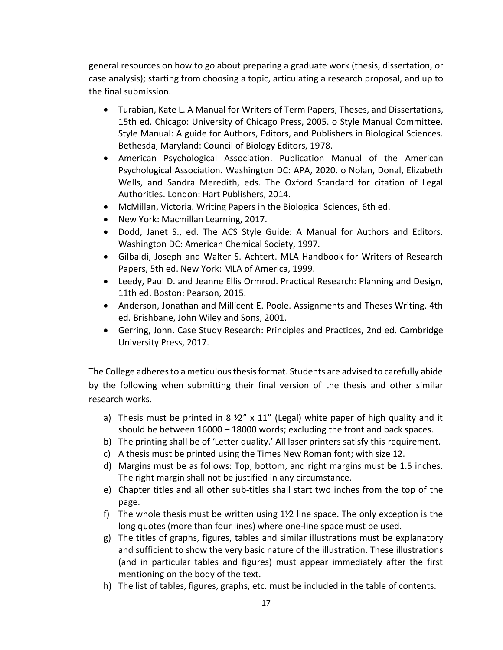general resources on how to go about preparing a graduate work (thesis, dissertation, or case analysis); starting from choosing a topic, articulating a research proposal, and up to the final submission.

- Turabian, Kate L. A Manual for Writers of Term Papers, Theses, and Dissertations, 15th ed. Chicago: University of Chicago Press, 2005. o Style Manual Committee. Style Manual: A guide for Authors, Editors, and Publishers in Biological Sciences. Bethesda, Maryland: Council of Biology Editors, 1978.
- American Psychological Association. Publication Manual of the American Psychological Association. Washington DC: APA, 2020. o Nolan, Donal, Elizabeth Wells, and Sandra Meredith, eds. The Oxford Standard for citation of Legal Authorities. London: Hart Publishers, 2014.
- McMillan, Victoria. Writing Papers in the Biological Sciences, 6th ed.
- New York: Macmillan Learning, 2017.
- Dodd, Janet S., ed. The ACS Style Guide: A Manual for Authors and Editors. Washington DC: American Chemical Society, 1997.
- Gilbaldi, Joseph and Walter S. Achtert. MLA Handbook for Writers of Research Papers, 5th ed. New York: MLA of America, 1999.
- Leedy, Paul D. and Jeanne Ellis Ormrod. Practical Research: Planning and Design, 11th ed. Boston: Pearson, 2015.
- Anderson, Jonathan and Millicent E. Poole. Assignments and Theses Writing, 4th ed. Brishbane, John Wiley and Sons, 2001.
- Gerring, John. Case Study Research: Principles and Practices, 2nd ed. Cambridge University Press, 2017.

The College adheres to a meticulous thesis format. Students are advised to carefully abide by the following when submitting their final version of the thesis and other similar research works.

- a) Thesis must be printed in 8  $\frac{y}{2}$  x 11" (Legal) white paper of high quality and it should be between 16000 – 18000 words; excluding the front and back spaces.
- b) The printing shall be of 'Letter quality.' All laser printers satisfy this requirement.
- c) A thesis must be printed using the Times New Roman font; with size 12.
- d) Margins must be as follows: Top, bottom, and right margins must be 1.5 inches. The right margin shall not be justified in any circumstance.
- e) Chapter titles and all other sub-titles shall start two inches from the top of the page.
- f) The whole thesis must be written using 1<sup>1</sup>/2 line space. The only exception is the long quotes (more than four lines) where one-line space must be used.
- g) The titles of graphs, figures, tables and similar illustrations must be explanatory and sufficient to show the very basic nature of the illustration. These illustrations (and in particular tables and figures) must appear immediately after the first mentioning on the body of the text.
- h) The list of tables, figures, graphs, etc. must be included in the table of contents.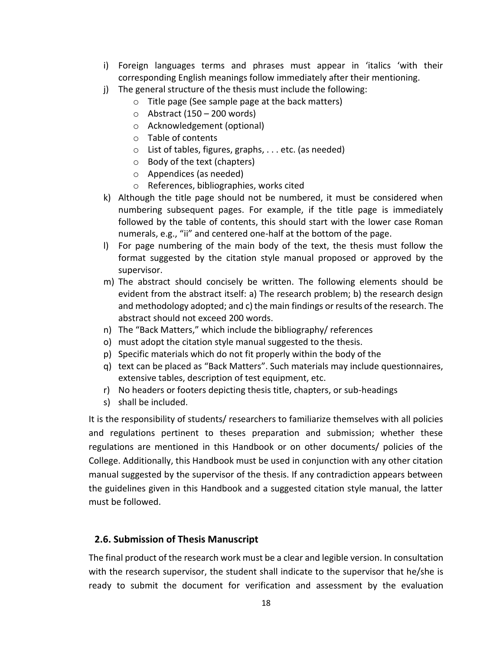- i) Foreign languages terms and phrases must appear in 'italics 'with their corresponding English meanings follow immediately after their mentioning.
- j) The general structure of the thesis must include the following:
	- o Title page (See sample page at the back matters)
	- $\circ$  Abstract (150 200 words)
	- o Acknowledgement (optional)
	- o Table of contents
	- o List of tables, figures, graphs, . . . etc. (as needed)
	- o Body of the text (chapters)
	- o Appendices (as needed)
	- o References, bibliographies, works cited
- k) Although the title page should not be numbered, it must be considered when numbering subsequent pages. For example, if the title page is immediately followed by the table of contents, this should start with the lower case Roman numerals, e.g., "ii" and centered one-half at the bottom of the page.
- l) For page numbering of the main body of the text, the thesis must follow the format suggested by the citation style manual proposed or approved by the supervisor.
- m) The abstract should concisely be written. The following elements should be evident from the abstract itself: a) The research problem; b) the research design and methodology adopted; and c) the main findings or results of the research. The abstract should not exceed 200 words.
- n) The "Back Matters," which include the bibliography/ references
- o) must adopt the citation style manual suggested to the thesis.
- p) Specific materials which do not fit properly within the body of the
- q) text can be placed as "Back Matters". Such materials may include questionnaires, extensive tables, description of test equipment, etc.
- r) No headers or footers depicting thesis title, chapters, or sub-headings
- s) shall be included.

It is the responsibility of students/ researchers to familiarize themselves with all policies and regulations pertinent to theses preparation and submission; whether these regulations are mentioned in this Handbook or on other documents/ policies of the College. Additionally, this Handbook must be used in conjunction with any other citation manual suggested by the supervisor of the thesis. If any contradiction appears between the guidelines given in this Handbook and a suggested citation style manual, the latter must be followed.

# <span id="page-17-0"></span>**2.6. Submission of Thesis Manuscript**

The final product of the research work must be a clear and legible version. In consultation with the research supervisor, the student shall indicate to the supervisor that he/she is ready to submit the document for verification and assessment by the evaluation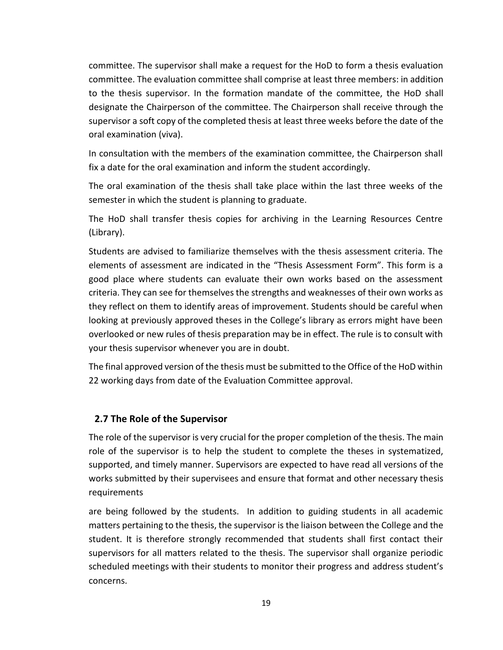committee. The supervisor shall make a request for the HoD to form a thesis evaluation committee. The evaluation committee shall comprise at least three members: in addition to the thesis supervisor. In the formation mandate of the committee, the HoD shall designate the Chairperson of the committee. The Chairperson shall receive through the supervisor a soft copy of the completed thesis at least three weeks before the date of the oral examination (viva).

In consultation with the members of the examination committee, the Chairperson shall fix a date for the oral examination and inform the student accordingly.

The oral examination of the thesis shall take place within the last three weeks of the semester in which the student is planning to graduate.

The HoD shall transfer thesis copies for archiving in the Learning Resources Centre (Library).

Students are advised to familiarize themselves with the thesis assessment criteria. The elements of assessment are indicated in the "Thesis Assessment Form". This form is a good place where students can evaluate their own works based on the assessment criteria. They can see for themselves the strengths and weaknesses of their own works as they reflect on them to identify areas of improvement. Students should be careful when looking at previously approved theses in the College's library as errors might have been overlooked or new rules of thesis preparation may be in effect. The rule is to consult with your thesis supervisor whenever you are in doubt.

The final approved version of the thesis must be submitted to the Office of the HoD within 22 working days from date of the Evaluation Committee approval.

# <span id="page-18-0"></span>**2.7 The Role of the Supervisor**

The role of the supervisor is very crucial for the proper completion of the thesis. The main role of the supervisor is to help the student to complete the theses in systematized, supported, and timely manner. Supervisors are expected to have read all versions of the works submitted by their supervisees and ensure that format and other necessary thesis requirements

are being followed by the students. In addition to guiding students in all academic matters pertaining to the thesis, the supervisor is the liaison between the College and the student. It is therefore strongly recommended that students shall first contact their supervisors for all matters related to the thesis. The supervisor shall organize periodic scheduled meetings with their students to monitor their progress and address student's concerns.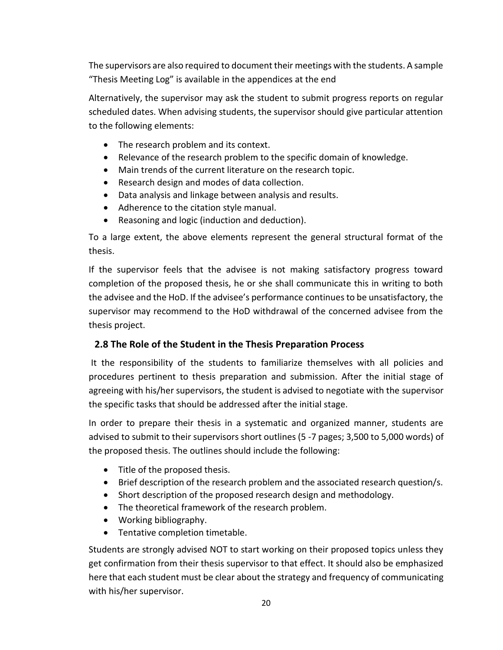The supervisors are also required to document their meetings with the students. A sample "Thesis Meeting Log" is available in the appendices at the end

Alternatively, the supervisor may ask the student to submit progress reports on regular scheduled dates. When advising students, the supervisor should give particular attention to the following elements:

- The research problem and its context.
- Relevance of the research problem to the specific domain of knowledge.
- Main trends of the current literature on the research topic.
- Research design and modes of data collection.
- Data analysis and linkage between analysis and results.
- Adherence to the citation style manual.
- Reasoning and logic (induction and deduction).

To a large extent, the above elements represent the general structural format of the thesis.

If the supervisor feels that the advisee is not making satisfactory progress toward completion of the proposed thesis, he or she shall communicate this in writing to both the advisee and the HoD. If the advisee's performance continues to be unsatisfactory, the supervisor may recommend to the HoD withdrawal of the concerned advisee from the thesis project.

# <span id="page-19-0"></span>**2.8 The Role of the Student in the Thesis Preparation Process**

It the responsibility of the students to familiarize themselves with all policies and procedures pertinent to thesis preparation and submission. After the initial stage of agreeing with his/her supervisors, the student is advised to negotiate with the supervisor the specific tasks that should be addressed after the initial stage.

In order to prepare their thesis in a systematic and organized manner, students are advised to submit to their supervisors short outlines (5 -7 pages; 3,500 to 5,000 words) of the proposed thesis. The outlines should include the following:

- Title of the proposed thesis.
- Brief description of the research problem and the associated research question/s.
- Short description of the proposed research design and methodology.
- The theoretical framework of the research problem.
- Working bibliography.
- Tentative completion timetable.

Students are strongly advised NOT to start working on their proposed topics unless they get confirmation from their thesis supervisor to that effect. It should also be emphasized here that each student must be clear about the strategy and frequency of communicating with his/her supervisor.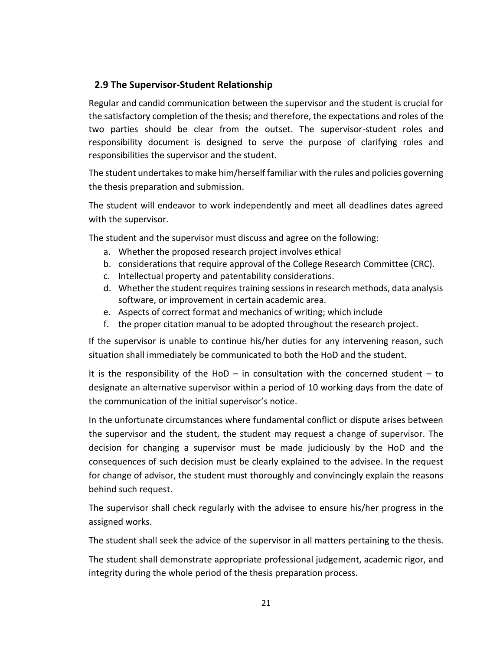# <span id="page-20-0"></span>**2.9 The Supervisor-Student Relationship**

Regular and candid communication between the supervisor and the student is crucial for the satisfactory completion of the thesis; and therefore, the expectations and roles of the two parties should be clear from the outset. The supervisor-student roles and responsibility document is designed to serve the purpose of clarifying roles and responsibilities the supervisor and the student.

The student undertakes to make him/herself familiar with the rules and policies governing the thesis preparation and submission.

The student will endeavor to work independently and meet all deadlines dates agreed with the supervisor.

The student and the supervisor must discuss and agree on the following:

- a. Whether the proposed research project involves ethical
- b. considerations that require approval of the College Research Committee (CRC).
- c. Intellectual property and patentability considerations.
- d. Whether the student requires training sessions in research methods, data analysis software, or improvement in certain academic area.
- e. Aspects of correct format and mechanics of writing; which include
- f. the proper citation manual to be adopted throughout the research project.

If the supervisor is unable to continue his/her duties for any intervening reason, such situation shall immediately be communicated to both the HoD and the student.

It is the responsibility of the HoD – in consultation with the concerned student – to designate an alternative supervisor within a period of 10 working days from the date of the communication of the initial supervisor's notice.

In the unfortunate circumstances where fundamental conflict or dispute arises between the supervisor and the student, the student may request a change of supervisor. The decision for changing a supervisor must be made judiciously by the HoD and the consequences of such decision must be clearly explained to the advisee. In the request for change of advisor, the student must thoroughly and convincingly explain the reasons behind such request.

The supervisor shall check regularly with the advisee to ensure his/her progress in the assigned works.

The student shall seek the advice of the supervisor in all matters pertaining to the thesis.

The student shall demonstrate appropriate professional judgement, academic rigor, and integrity during the whole period of the thesis preparation process.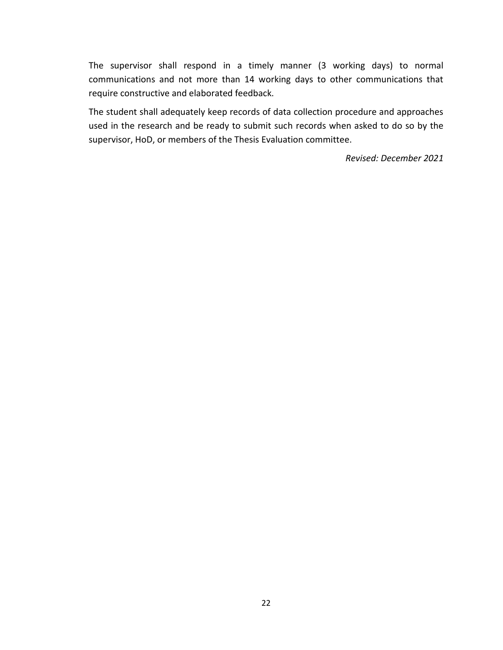The supervisor shall respond in a timely manner (3 working days) to normal communications and not more than 14 working days to other communications that require constructive and elaborated feedback.

The student shall adequately keep records of data collection procedure and approaches used in the research and be ready to submit such records when asked to do so by the supervisor, HoD, or members of the Thesis Evaluation committee.

*Revised: December 2021*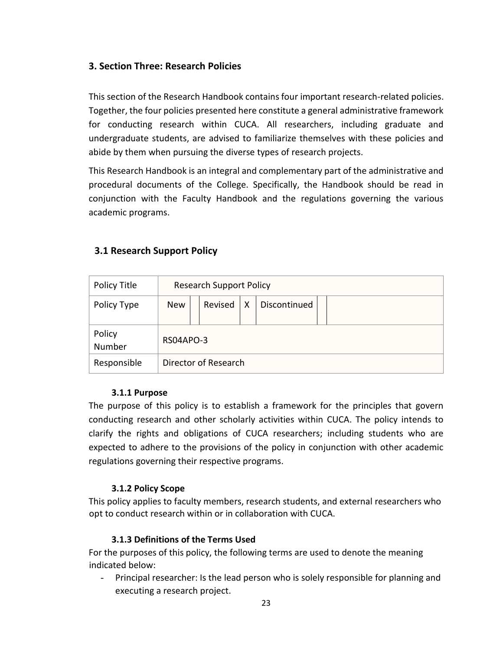# <span id="page-22-0"></span>**3. Section Three: Research Policies**

This section of the Research Handbook contains four important research-related policies. Together, the four policies presented here constitute a general administrative framework for conducting research within CUCA. All researchers, including graduate and undergraduate students, are advised to familiarize themselves with these policies and abide by them when pursuing the diverse types of research projects.

This Research Handbook is an integral and complementary part of the administrative and procedural documents of the College. Specifically, the Handbook should be read in conjunction with the Faculty Handbook and the regulations governing the various academic programs.

# <span id="page-22-1"></span>**3.1 Research Support Policy**

| Policy Title     | <b>Research Support Policy</b> |           |   |              |  |
|------------------|--------------------------------|-----------|---|--------------|--|
| Policy Type      | <b>New</b>                     | Revised   | X | Discontinued |  |
| Policy<br>Number |                                | RS04APO-3 |   |              |  |
| Responsible      | Director of Research           |           |   |              |  |

#### **3.1.1 Purpose**

The purpose of this policy is to establish a framework for the principles that govern conducting research and other scholarly activities within CUCA. The policy intends to clarify the rights and obligations of CUCA researchers; including students who are expected to adhere to the provisions of the policy in conjunction with other academic regulations governing their respective programs.

# **3.1.2 Policy Scope**

This policy applies to faculty members, research students, and external researchers who opt to conduct research within or in collaboration with CUCA.

# **3.1.3 Definitions of the Terms Used**

For the purposes of this policy, the following terms are used to denote the meaning indicated below:

- Principal researcher: Is the lead person who is solely responsible for planning and executing a research project.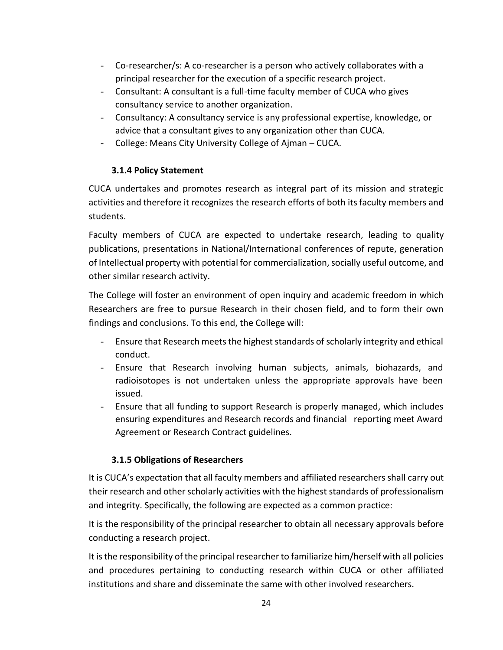- Co-researcher/s: A co-researcher is a person who actively collaborates with a principal researcher for the execution of a specific research project.
- Consultant: A consultant is a full-time faculty member of CUCA who gives consultancy service to another organization.
- Consultancy: A consultancy service is any professional expertise, knowledge, or advice that a consultant gives to any organization other than CUCA.
- College: Means City University College of Ajman CUCA.

# **3.1.4 Policy Statement**

CUCA undertakes and promotes research as integral part of its mission and strategic activities and therefore it recognizes the research efforts of both its faculty members and students.

Faculty members of CUCA are expected to undertake research, leading to quality publications, presentations in National/International conferences of repute, generation of Intellectual property with potential for commercialization, socially useful outcome, and other similar research activity.

The College will foster an environment of open inquiry and academic freedom in which Researchers are free to pursue Research in their chosen field, and to form their own findings and conclusions. To this end, the College will:

- Ensure that Research meets the highest standards of scholarly integrity and ethical conduct.
- Ensure that Research involving human subjects, animals, biohazards, and radioisotopes is not undertaken unless the appropriate approvals have been issued.
- Ensure that all funding to support Research is properly managed, which includes ensuring expenditures and Research records and financial reporting meet Award Agreement or Research Contract guidelines.

# **3.1.5 Obligations of Researchers**

It is CUCA's expectation that all faculty members and affiliated researchers shall carry out their research and other scholarly activities with the highest standards of professionalism and integrity. Specifically, the following are expected as a common practice:

It is the responsibility of the principal researcher to obtain all necessary approvals before conducting a research project.

It is the responsibility of the principal researcher to familiarize him/herself with all policies and procedures pertaining to conducting research within CUCA or other affiliated institutions and share and disseminate the same with other involved researchers.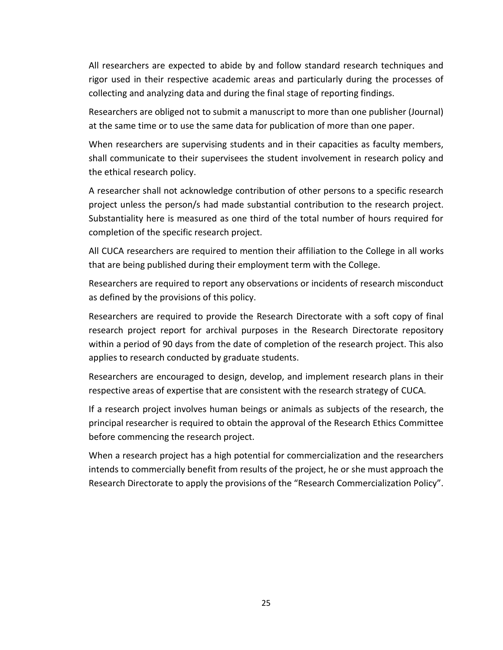All researchers are expected to abide by and follow standard research techniques and rigor used in their respective academic areas and particularly during the processes of collecting and analyzing data and during the final stage of reporting findings.

Researchers are obliged not to submit a manuscript to more than one publisher (Journal) at the same time or to use the same data for publication of more than one paper.

When researchers are supervising students and in their capacities as faculty members, shall communicate to their supervisees the student involvement in research policy and the ethical research policy.

A researcher shall not acknowledge contribution of other persons to a specific research project unless the person/s had made substantial contribution to the research project. Substantiality here is measured as one third of the total number of hours required for completion of the specific research project.

All CUCA researchers are required to mention their affiliation to the College in all works that are being published during their employment term with the College.

Researchers are required to report any observations or incidents of research misconduct as defined by the provisions of this policy.

Researchers are required to provide the Research Directorate with a soft copy of final research project report for archival purposes in the Research Directorate repository within a period of 90 days from the date of completion of the research project. This also applies to research conducted by graduate students.

Researchers are encouraged to design, develop, and implement research plans in their respective areas of expertise that are consistent with the research strategy of CUCA.

If a research project involves human beings or animals as subjects of the research, the principal researcher is required to obtain the approval of the Research Ethics Committee before commencing the research project.

When a research project has a high potential for commercialization and the researchers intends to commercially benefit from results of the project, he or she must approach the Research Directorate to apply the provisions of the "Research Commercialization Policy".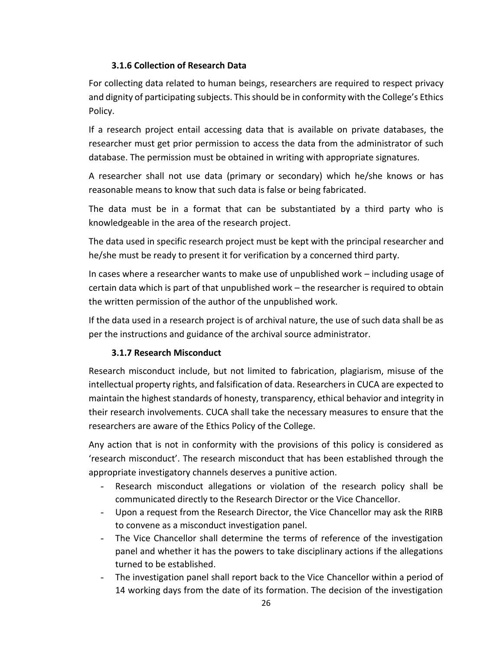# **3.1.6 Collection of Research Data**

For collecting data related to human beings, researchers are required to respect privacy and dignity of participating subjects. This should be in conformity with the College's Ethics Policy.

If a research project entail accessing data that is available on private databases, the researcher must get prior permission to access the data from the administrator of such database. The permission must be obtained in writing with appropriate signatures.

A researcher shall not use data (primary or secondary) which he/she knows or has reasonable means to know that such data is false or being fabricated.

The data must be in a format that can be substantiated by a third party who is knowledgeable in the area of the research project.

The data used in specific research project must be kept with the principal researcher and he/she must be ready to present it for verification by a concerned third party.

In cases where a researcher wants to make use of unpublished work – including usage of certain data which is part of that unpublished work – the researcher is required to obtain the written permission of the author of the unpublished work.

If the data used in a research project is of archival nature, the use of such data shall be as per the instructions and guidance of the archival source administrator.

# **3.1.7 Research Misconduct**

Research misconduct include, but not limited to fabrication, plagiarism, misuse of the intellectual property rights, and falsification of data. Researchers in CUCA are expected to maintain the highest standards of honesty, transparency, ethical behavior and integrity in their research involvements. CUCA shall take the necessary measures to ensure that the researchers are aware of the Ethics Policy of the College.

Any action that is not in conformity with the provisions of this policy is considered as 'research misconduct'. The research misconduct that has been established through the appropriate investigatory channels deserves a punitive action.

- Research misconduct allegations or violation of the research policy shall be communicated directly to the Research Director or the Vice Chancellor.
- Upon a request from the Research Director, the Vice Chancellor may ask the RIRB to convene as a misconduct investigation panel.
- The Vice Chancellor shall determine the terms of reference of the investigation panel and whether it has the powers to take disciplinary actions if the allegations turned to be established.
- The investigation panel shall report back to the Vice Chancellor within a period of 14 working days from the date of its formation. The decision of the investigation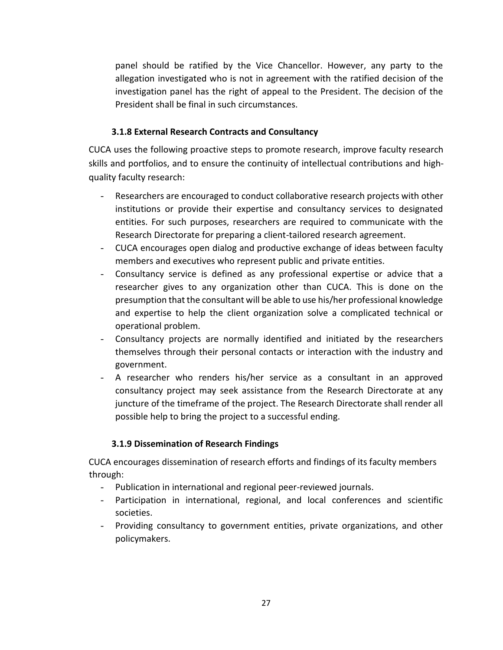panel should be ratified by the Vice Chancellor. However, any party to the allegation investigated who is not in agreement with the ratified decision of the investigation panel has the right of appeal to the President. The decision of the President shall be final in such circumstances.

## **3.1.8 External Research Contracts and Consultancy**

CUCA uses the following proactive steps to promote research, improve faculty research skills and portfolios, and to ensure the continuity of intellectual contributions and highquality faculty research:

- Researchers are encouraged to conduct collaborative research projects with other institutions or provide their expertise and consultancy services to designated entities. For such purposes, researchers are required to communicate with the Research Directorate for preparing a client-tailored research agreement.
- CUCA encourages open dialog and productive exchange of ideas between faculty members and executives who represent public and private entities.
- Consultancy service is defined as any professional expertise or advice that a researcher gives to any organization other than CUCA. This is done on the presumption that the consultant will be able to use his/her professional knowledge and expertise to help the client organization solve a complicated technical or operational problem.
- Consultancy projects are normally identified and initiated by the researchers themselves through their personal contacts or interaction with the industry and government.
- A researcher who renders his/her service as a consultant in an approved consultancy project may seek assistance from the Research Directorate at any juncture of the timeframe of the project. The Research Directorate shall render all possible help to bring the project to a successful ending.

# **3.1.9 Dissemination of Research Findings**

CUCA encourages dissemination of research efforts and findings of its faculty members through:

- Publication in international and regional peer-reviewed journals.
- Participation in international, regional, and local conferences and scientific societies.
- Providing consultancy to government entities, private organizations, and other policymakers.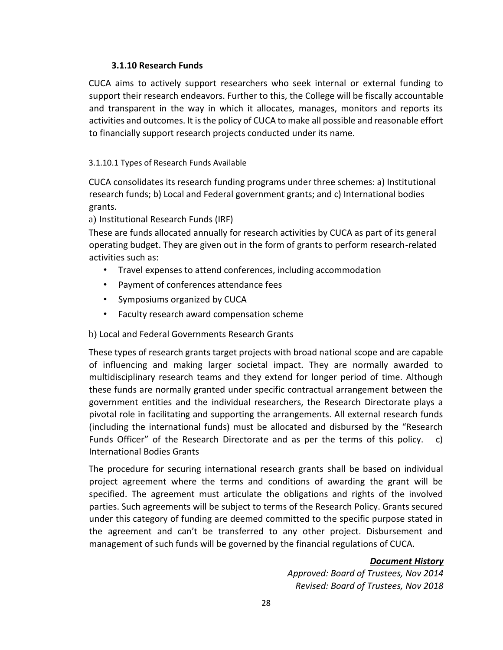## **3.1.10 Research Funds**

CUCA aims to actively support researchers who seek internal or external funding to support their research endeavors. Further to this, the College will be fiscally accountable and transparent in the way in which it allocates, manages, monitors and reports its activities and outcomes. It is the policy of CUCA to make all possible and reasonable effort to financially support research projects conducted under its name.

## 3.1.10.1 Types of Research Funds Available

CUCA consolidates its research funding programs under three schemes: a) Institutional research funds; b) Local and Federal government grants; and c) International bodies grants.

a) Institutional Research Funds (IRF)

These are funds allocated annually for research activities by CUCA as part of its general operating budget. They are given out in the form of grants to perform research-related activities such as:

- Travel expenses to attend conferences, including accommodation
- Payment of conferences attendance fees
- Symposiums organized by CUCA
- Faculty research award compensation scheme

# b) Local and Federal Governments Research Grants

These types of research grants target projects with broad national scope and are capable of influencing and making larger societal impact. They are normally awarded to multidisciplinary research teams and they extend for longer period of time. Although these funds are normally granted under specific contractual arrangement between the government entities and the individual researchers, the Research Directorate plays a pivotal role in facilitating and supporting the arrangements. All external research funds (including the international funds) must be allocated and disbursed by the "Research Funds Officer" of the Research Directorate and as per the terms of this policy. c) International Bodies Grants

The procedure for securing international research grants shall be based on individual project agreement where the terms and conditions of awarding the grant will be specified. The agreement must articulate the obligations and rights of the involved parties. Such agreements will be subject to terms of the Research Policy. Grants secured under this category of funding are deemed committed to the specific purpose stated in the agreement and can't be transferred to any other project. Disbursement and management of such funds will be governed by the financial regulations of CUCA.

# *Document History*

*Approved: Board of Trustees, Nov 2014 Revised: Board of Trustees, Nov 2018*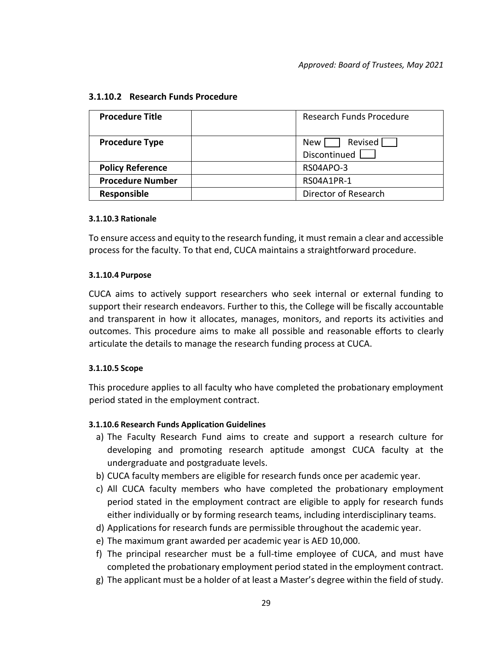| <b>Procedure Title</b>  | <b>Research Funds Procedure</b>      |
|-------------------------|--------------------------------------|
| <b>Procedure Type</b>   | Revised [<br>New l<br>Discontinued [ |
| <b>Policy Reference</b> | RS04APO-3                            |
| <b>Procedure Number</b> | RS04A1PR-1                           |
| Responsible             | Director of Research                 |

#### **3.1.10.2 Research Funds Procedure**

#### **3.1.10.3 Rationale**

To ensure access and equity to the research funding, it must remain a clear and accessible process for the faculty. To that end, CUCA maintains a straightforward procedure.

#### **3.1.10.4 Purpose**

CUCA aims to actively support researchers who seek internal or external funding to support their research endeavors. Further to this, the College will be fiscally accountable and transparent in how it allocates, manages, monitors, and reports its activities and outcomes. This procedure aims to make all possible and reasonable efforts to clearly articulate the details to manage the research funding process at CUCA.

#### **3.1.10.5 Scope**

This procedure applies to all faculty who have completed the probationary employment period stated in the employment contract.

#### **3.1.10.6 Research Funds Application Guidelines**

- a) The Faculty Research Fund aims to create and support a research culture for developing and promoting research aptitude amongst CUCA faculty at the undergraduate and postgraduate levels.
- b) CUCA faculty members are eligible for research funds once per academic year.
- c) All CUCA faculty members who have completed the probationary employment period stated in the employment contract are eligible to apply for research funds either individually or by forming research teams, including interdisciplinary teams.
- d) Applications for research funds are permissible throughout the academic year.
- e) The maximum grant awarded per academic year is AED 10,000.
- f) The principal researcher must be a full-time employee of CUCA, and must have completed the probationary employment period stated in the employment contract.
- g) The applicant must be a holder of at least a Master's degree within the field of study.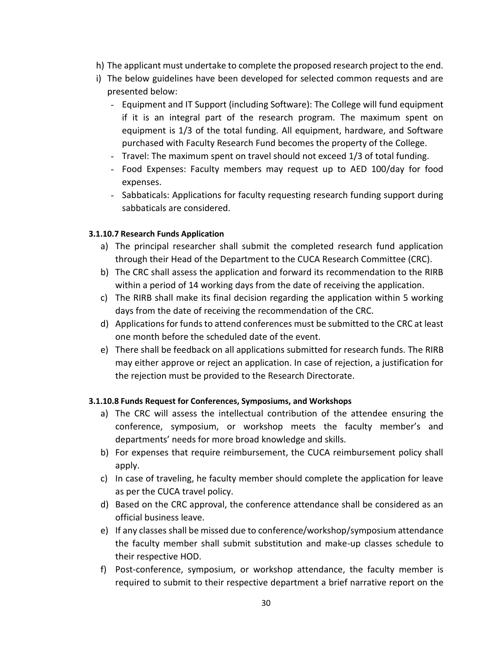- h) The applicant must undertake to complete the proposed research project to the end.
- i) The below guidelines have been developed for selected common requests and are presented below:
	- Equipment and IT Support (including Software): The College will fund equipment if it is an integral part of the research program. The maximum spent on equipment is 1/3 of the total funding. All equipment, hardware, and Software purchased with Faculty Research Fund becomes the property of the College.
	- Travel: The maximum spent on travel should not exceed 1/3 of total funding.
	- Food Expenses: Faculty members may request up to AED 100/day for food expenses.
	- Sabbaticals: Applications for faculty requesting research funding support during sabbaticals are considered.

#### **3.1.10.7 Research Funds Application**

- a) The principal researcher shall submit the completed research fund application through their Head of the Department to the CUCA Research Committee (CRC).
- b) The CRC shall assess the application and forward its recommendation to the RIRB within a period of 14 working days from the date of receiving the application.
- c) The RIRB shall make its final decision regarding the application within 5 working days from the date of receiving the recommendation of the CRC.
- d) Applications for funds to attend conferences must be submitted to the CRC at least one month before the scheduled date of the event.
- e) There shall be feedback on all applications submitted for research funds. The RIRB may either approve or reject an application. In case of rejection, a justification for the rejection must be provided to the Research Directorate.

#### **3.1.10.8 Funds Request for Conferences, Symposiums, and Workshops**

- a) The CRC will assess the intellectual contribution of the attendee ensuring the conference, symposium, or workshop meets the faculty member's and departments' needs for more broad knowledge and skills.
- b) For expenses that require reimbursement, the CUCA reimbursement policy shall apply.
- c) In case of traveling, he faculty member should complete the application for leave as per the CUCA travel policy.
- d) Based on the CRC approval, the conference attendance shall be considered as an official business leave.
- e) If any classes shall be missed due to conference/workshop/symposium attendance the faculty member shall submit substitution and make-up classes schedule to their respective HOD.
- f) Post-conference, symposium, or workshop attendance, the faculty member is required to submit to their respective department a brief narrative report on the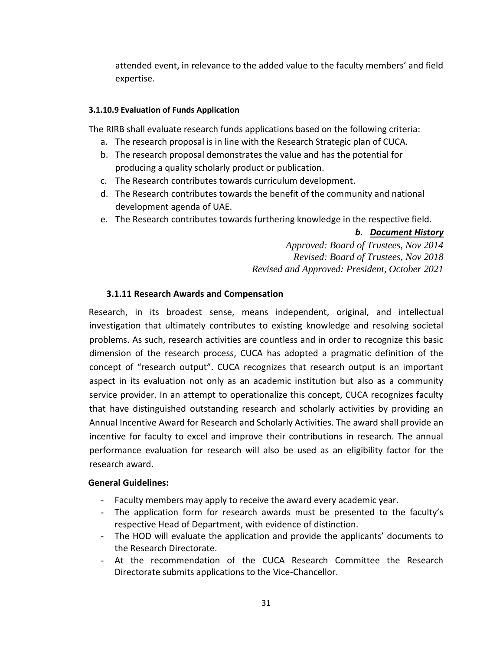attended event, in relevance to the added value to the faculty members' and field expertise.

#### **3.1.10.9 Evaluation of Funds Application**

The RIRB shall evaluate research funds applications based on the following criteria:

- a. The research proposal is in line with the Research Strategic plan of CUCA.
- b. The research proposal demonstrates the value and has the potential for producing a quality scholarly product or publication.
- c. The Research contributes towards curriculum development.
- d. The Research contributes towards the benefit of the community and national development agenda of UAE.
- e. The Research contributes towards furthering knowledge in the respective field.

#### *b. Document History*

*Approved: Board of Trustees, Nov 2014 Revised: Board of Trustees, Nov 2018 Revised and Approved: President, October 2021*

#### <span id="page-30-0"></span>**3.1.11 Research Awards and Compensation**

Research, in its broadest sense, means independent, original, and intellectual investigation that ultimately contributes to existing knowledge and resolving societal problems. As such, research activities are countless and in order to recognize this basic dimension of the research process, CUCA has adopted a pragmatic definition of the concept of "research output". CUCA recognizes that research output is an important aspect in its evaluation not only as an academic institution but also as a community service provider. In an attempt to operationalize this concept, CUCA recognizes faculty that have distinguished outstanding research and scholarly activities by providing an Annual Incentive Award for Research and Scholarly Activities. The award shall provide an incentive for faculty to excel and improve their contributions in research. The annual performance evaluation for research will also be used as an eligibility factor for the research award.

#### **General Guidelines:**

- Faculty members may apply to receive the award every academic year.
- The application form for research awards must be presented to the faculty's respective Head of Department, with evidence of distinction.
- The HOD will evaluate the application and provide the applicants' documents to the Research Directorate.
- At the recommendation of the CUCA Research Committee the Research Directorate submits applications to the Vice-Chancellor.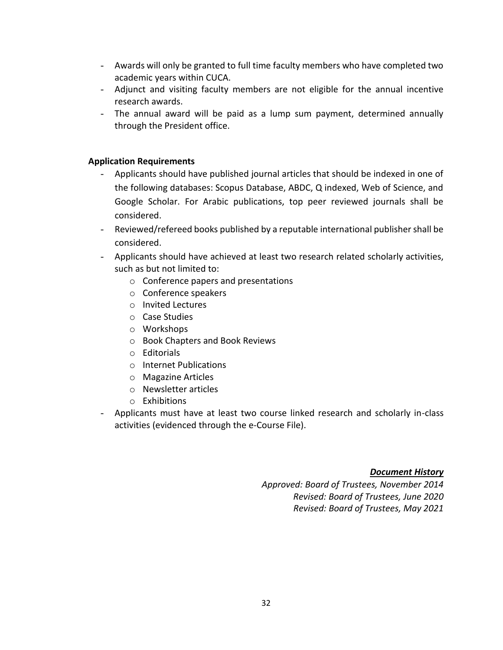- Awards will only be granted to full time faculty members who have completed two academic years within CUCA.
- Adjunct and visiting faculty members are not eligible for the annual incentive research awards.
- The annual award will be paid as a lump sum payment, determined annually through the President office.

## **Application Requirements**

- Applicants should have published journal articles that should be indexed in one of the following databases: Scopus Database, ABDC, Q indexed, Web of Science, and Google Scholar. For Arabic publications, top peer reviewed journals shall be considered.
- Reviewed/refereed books published by a reputable international publisher shall be considered.
- Applicants should have achieved at least two research related scholarly activities, such as but not limited to:
	- o Conference papers and presentations
	- o Conference speakers
	- o Invited Lectures
	- o Case Studies
	- o Workshops
	- o Book Chapters and Book Reviews
	- o Editorials
	- o Internet Publications
	- o Magazine Articles
	- o Newsletter articles
	- o Exhibitions
- Applicants must have at least two course linked research and scholarly in-class activities (evidenced through the e-Course File).

#### *Document History*

*Approved: Board of Trustees, November 2014 Revised: Board of Trustees, June 2020 Revised: Board of Trustees, May 2021*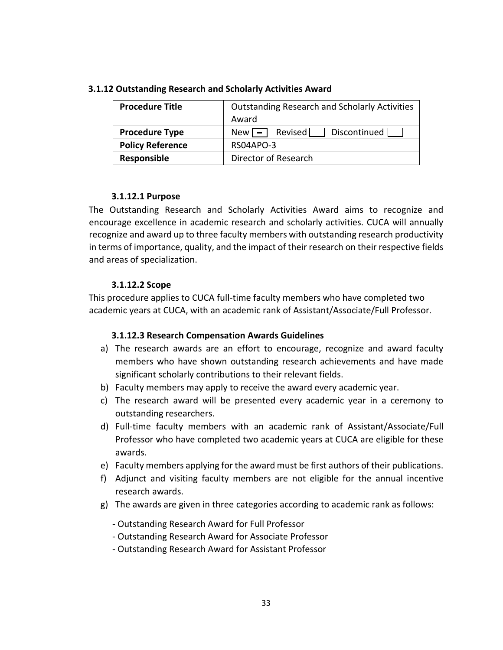| <b>Procedure Title</b>  | <b>Outstanding Research and Scholarly Activities</b><br>Award |
|-------------------------|---------------------------------------------------------------|
| <b>Procedure Type</b>   | Revised<br>Discontinued<br>$New = 1$                          |
| <b>Policy Reference</b> | RS04APO-3                                                     |
| Responsible             | Director of Research                                          |

#### **3.1.12 Outstanding Research and Scholarly Activities Award**

#### **3.1.12.1 Purpose**

The Outstanding Research and Scholarly Activities Award aims to recognize and encourage excellence in academic research and scholarly activities. CUCA will annually recognize and award up to three faculty members with outstanding research productivity in terms of importance, quality, and the impact of their research on their respective fields and areas of specialization.

#### **3.1.12.2 Scope**

This procedure applies to CUCA full-time faculty members who have completed two academic years at CUCA, with an academic rank of Assistant/Associate/Full Professor.

#### **3.1.12.3 Research Compensation Awards Guidelines**

- a) The research awards are an effort to encourage, recognize and award faculty members who have shown outstanding research achievements and have made significant scholarly contributions to their relevant fields.
- b) Faculty members may apply to receive the award every academic year.
- c) The research award will be presented every academic year in a ceremony to outstanding researchers.
- d) Full-time faculty members with an academic rank of Assistant/Associate/Full Professor who have completed two academic years at CUCA are eligible for these awards.
- e) Faculty members applying for the award must be first authors of their publications.
- f) Adjunct and visiting faculty members are not eligible for the annual incentive research awards.
- g) The awards are given in three categories according to academic rank as follows:
	- Outstanding Research Award for Full Professor
	- Outstanding Research Award for Associate Professor
	- Outstanding Research Award for Assistant Professor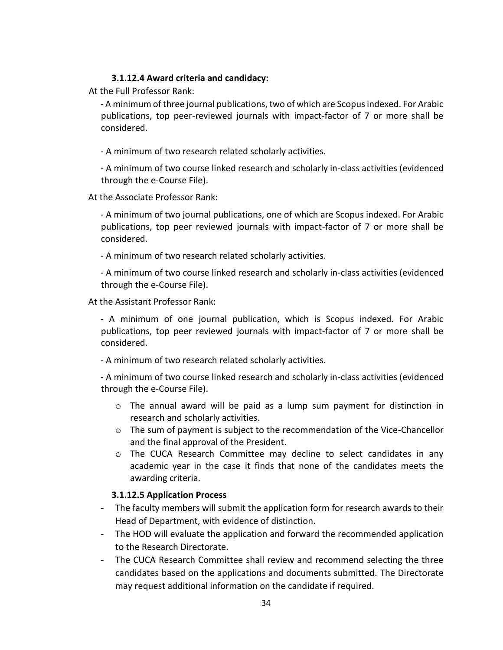#### **3.1.12.4 Award criteria and candidacy:**

At the Full Professor Rank:

- A minimum of three journal publications, two of which are Scopus indexed. For Arabic publications, top peer-reviewed journals with impact-factor of 7 or more shall be considered.

- A minimum of two research related scholarly activities.

- A minimum of two course linked research and scholarly in-class activities (evidenced through the e-Course File).

At the Associate Professor Rank:

- A minimum of two journal publications, one of which are Scopus indexed. For Arabic publications, top peer reviewed journals with impact-factor of 7 or more shall be considered.

- A minimum of two research related scholarly activities.

- A minimum of two course linked research and scholarly in-class activities (evidenced through the e-Course File).

At the Assistant Professor Rank:

- A minimum of one journal publication, which is Scopus indexed. For Arabic publications, top peer reviewed journals with impact-factor of 7 or more shall be considered.

- A minimum of two research related scholarly activities.

- A minimum of two course linked research and scholarly in-class activities (evidenced through the e-Course File).

- o The annual award will be paid as a lump sum payment for distinction in research and scholarly activities.
- $\circ$  The sum of payment is subject to the recommendation of the Vice-Chancellor and the final approval of the President.
- $\circ$  The CUCA Research Committee may decline to select candidates in any academic year in the case it finds that none of the candidates meets the awarding criteria.

#### **3.1.12.5 Application Process**

- The faculty members will submit the application form for research awards to their Head of Department, with evidence of distinction.
- The HOD will evaluate the application and forward the recommended application to the Research Directorate.
- The CUCA Research Committee shall review and recommend selecting the three candidates based on the applications and documents submitted. The Directorate may request additional information on the candidate if required.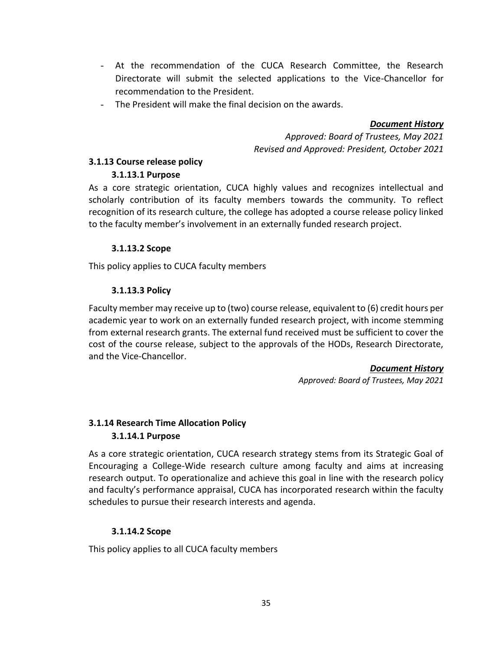- At the recommendation of the CUCA Research Committee, the Research Directorate will submit the selected applications to the Vice-Chancellor for recommendation to the President.
- The President will make the final decision on the awards.

#### *Document History*

*Approved: Board of Trustees, May 2021 Revised and Approved: President, October 2021*

## <span id="page-34-0"></span>**3.1.13 Course release policy**

## **3.1.13.1 Purpose**

As a core strategic orientation, CUCA highly values and recognizes intellectual and scholarly contribution of its faculty members towards the community. To reflect recognition of its research culture, the college has adopted a course release policy linked to the faculty member's involvement in an externally funded research project.

# **3.1.13.2 Scope**

This policy applies to CUCA faculty members

## **3.1.13.3 Policy**

Faculty member may receive up to (two) course release, equivalent to (6) credit hours per academic year to work on an externally funded research project, with income stemming from external research grants. The external fund received must be sufficient to cover the cost of the course release, subject to the approvals of the HODs, Research Directorate, and the Vice-Chancellor.

#### *Document History*

*Approved: Board of Trustees, May 2021* 

# <span id="page-34-1"></span>**3.1.14 Research Time Allocation Policy 3.1.14.1 Purpose**

As a core strategic orientation, CUCA research strategy stems from its Strategic Goal of Encouraging a College-Wide research culture among faculty and aims at increasing research output. To operationalize and achieve this goal in line with the research policy and faculty's performance appraisal, CUCA has incorporated research within the faculty schedules to pursue their research interests and agenda.

# **3.1.14.2 Scope**

This policy applies to all CUCA faculty members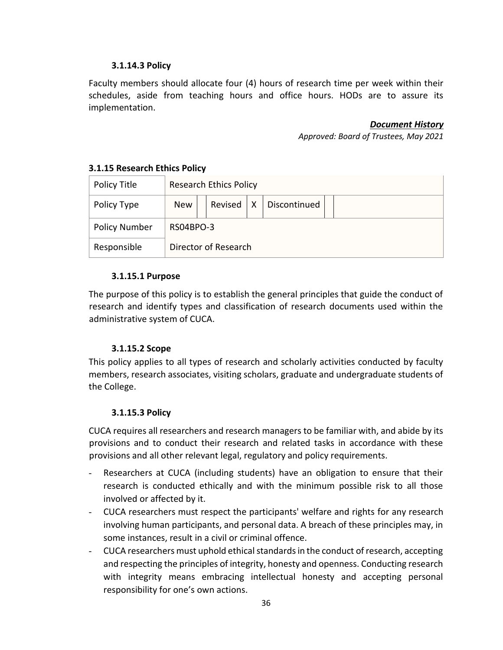## **3.1.14.3 Policy**

Faculty members should allocate four (4) hours of research time per week within their schedules, aside from teaching hours and office hours. HODs are to assure its implementation.

#### *Document History*

*Approved: Board of Trustees, May 2021* 

| Policy Title         |                      | <b>Research Ethics Policy</b> |  |              |  |
|----------------------|----------------------|-------------------------------|--|--------------|--|
| Policy Type          | <b>New</b>           | Revised $ X $                 |  | Discontinued |  |
| <b>Policy Number</b> |                      | RS04BPO-3                     |  |              |  |
| Responsible          | Director of Research |                               |  |              |  |

## <span id="page-35-0"></span>**3.1.15 Research Ethics Policy**

#### **3.1.15.1 Purpose**

The purpose of this policy is to establish the general principles that guide the conduct of research and identify types and classification of research documents used within the administrative system of CUCA.

#### **3.1.15.2 Scope**

This policy applies to all types of research and scholarly activities conducted by faculty members, research associates, visiting scholars, graduate and undergraduate students of the College.

#### **3.1.15.3 Policy**

CUCA requires all researchers and research managers to be familiar with, and abide by its provisions and to conduct their research and related tasks in accordance with these provisions and all other relevant legal, regulatory and policy requirements.

- Researchers at CUCA (including students) have an obligation to ensure that their research is conducted ethically and with the minimum possible risk to all those involved or affected by it.
- CUCA researchers must respect the participants' welfare and rights for any research involving human participants, and personal data. A breach of these principles may, in some instances, result in a civil or criminal offence.
- CUCA researchers must uphold ethical standards in the conduct of research, accepting and respecting the principles of integrity, honesty and openness. Conducting research with integrity means embracing intellectual honesty and accepting personal responsibility for one's own actions.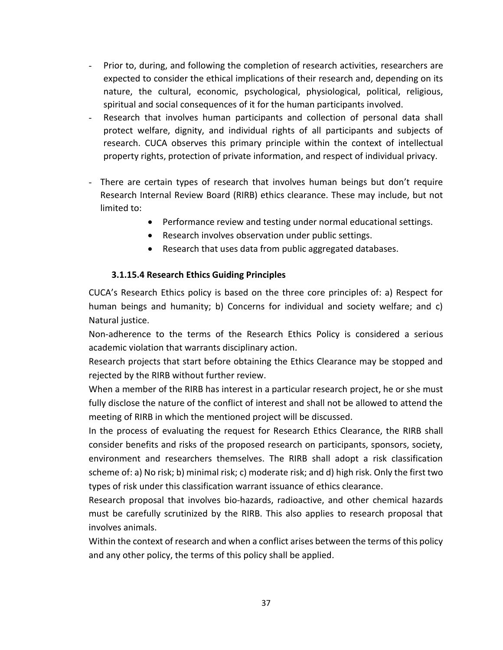- Prior to, during, and following the completion of research activities, researchers are expected to consider the ethical implications of their research and, depending on its nature, the cultural, economic, psychological, physiological, political, religious, spiritual and social consequences of it for the human participants involved.
- Research that involves human participants and collection of personal data shall protect welfare, dignity, and individual rights of all participants and subjects of research. CUCA observes this primary principle within the context of intellectual property rights, protection of private information, and respect of individual privacy.
- There are certain types of research that involves human beings but don't require Research Internal Review Board (RIRB) ethics clearance. These may include, but not limited to:
	- Performance review and testing under normal educational settings.
	- Research involves observation under public settings.
	- Research that uses data from public aggregated databases.

#### **3.1.15.4 Research Ethics Guiding Principles**

CUCA's Research Ethics policy is based on the three core principles of: a) Respect for human beings and humanity; b) Concerns for individual and society welfare; and c) Natural justice.

Non-adherence to the terms of the Research Ethics Policy is considered a serious academic violation that warrants disciplinary action.

Research projects that start before obtaining the Ethics Clearance may be stopped and rejected by the RIRB without further review.

When a member of the RIRB has interest in a particular research project, he or she must fully disclose the nature of the conflict of interest and shall not be allowed to attend the meeting of RIRB in which the mentioned project will be discussed.

In the process of evaluating the request for Research Ethics Clearance, the RIRB shall consider benefits and risks of the proposed research on participants, sponsors, society, environment and researchers themselves. The RIRB shall adopt a risk classification scheme of: a) No risk; b) minimal risk; c) moderate risk; and d) high risk. Only the first two types of risk under this classification warrant issuance of ethics clearance.

Research proposal that involves bio-hazards, radioactive, and other chemical hazards must be carefully scrutinized by the RIRB. This also applies to research proposal that involves animals.

Within the context of research and when a conflict arises between the terms of this policy and any other policy, the terms of this policy shall be applied.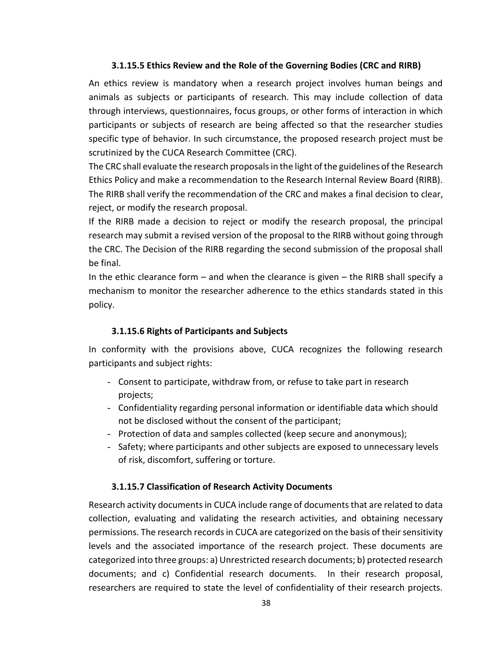#### **3.1.15.5 Ethics Review and the Role of the Governing Bodies (CRC and RIRB)**

An ethics review is mandatory when a research project involves human beings and animals as subjects or participants of research. This may include collection of data through interviews, questionnaires, focus groups, or other forms of interaction in which participants or subjects of research are being affected so that the researcher studies specific type of behavior. In such circumstance, the proposed research project must be scrutinized by the CUCA Research Committee (CRC).

The CRC shall evaluate the research proposals in the light of the guidelines of the Research Ethics Policy and make a recommendation to the Research Internal Review Board (RIRB). The RIRB shall verify the recommendation of the CRC and makes a final decision to clear, reject, or modify the research proposal.

If the RIRB made a decision to reject or modify the research proposal, the principal research may submit a revised version of the proposal to the RIRB without going through the CRC. The Decision of the RIRB regarding the second submission of the proposal shall be final.

In the ethic clearance form  $-$  and when the clearance is given  $-$  the RIRB shall specify a mechanism to monitor the researcher adherence to the ethics standards stated in this policy.

# **3.1.15.6 Rights of Participants and Subjects**

In conformity with the provisions above, CUCA recognizes the following research participants and subject rights:

- Consent to participate, withdraw from, or refuse to take part in research projects;
- Confidentiality regarding personal information or identifiable data which should not be disclosed without the consent of the participant;
- Protection of data and samples collected (keep secure and anonymous);
- Safety; where participants and other subjects are exposed to unnecessary levels of risk, discomfort, suffering or torture.

# **3.1.15.7 Classification of Research Activity Documents**

Research activity documents in CUCA include range of documents that are related to data collection, evaluating and validating the research activities, and obtaining necessary permissions. The research records in CUCA are categorized on the basis of their sensitivity levels and the associated importance of the research project. These documents are categorized into three groups: a) Unrestricted research documents; b) protected research documents; and c) Confidential research documents. In their research proposal, researchers are required to state the level of confidentiality of their research projects.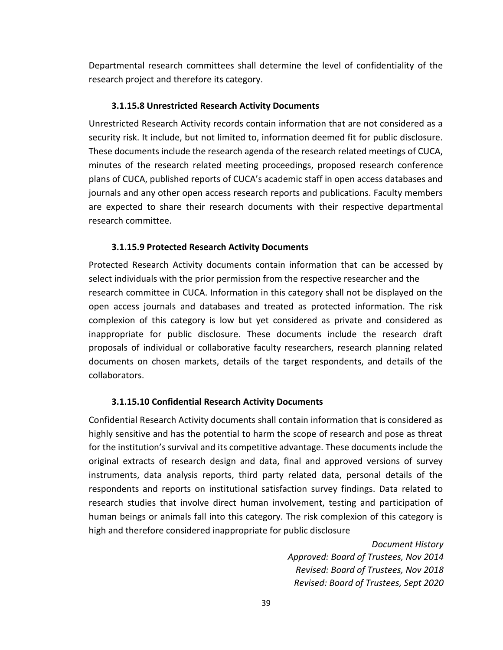Departmental research committees shall determine the level of confidentiality of the research project and therefore its category.

#### **3.1.15.8 Unrestricted Research Activity Documents**

Unrestricted Research Activity records contain information that are not considered as a security risk. It include, but not limited to, information deemed fit for public disclosure. These documents include the research agenda of the research related meetings of CUCA, minutes of the research related meeting proceedings, proposed research conference plans of CUCA, published reports of CUCA's academic staff in open access databases and journals and any other open access research reports and publications. Faculty members are expected to share their research documents with their respective departmental research committee.

#### **3.1.15.9 Protected Research Activity Documents**

Protected Research Activity documents contain information that can be accessed by select individuals with the prior permission from the respective researcher and the research committee in CUCA. Information in this category shall not be displayed on the open access journals and databases and treated as protected information. The risk complexion of this category is low but yet considered as private and considered as inappropriate for public disclosure. These documents include the research draft proposals of individual or collaborative faculty researchers, research planning related documents on chosen markets, details of the target respondents, and details of the collaborators.

#### **3.1.15.10 Confidential Research Activity Documents**

Confidential Research Activity documents shall contain information that is considered as highly sensitive and has the potential to harm the scope of research and pose as threat for the institution's survival and its competitive advantage. These documents include the original extracts of research design and data, final and approved versions of survey instruments, data analysis reports, third party related data, personal details of the respondents and reports on institutional satisfaction survey findings. Data related to research studies that involve direct human involvement, testing and participation of human beings or animals fall into this category. The risk complexion of this category is high and therefore considered inappropriate for public disclosure

> *Document History Approved: Board of Trustees, Nov 2014 Revised: Board of Trustees, Nov 2018 Revised: Board of Trustees, Sept 2020*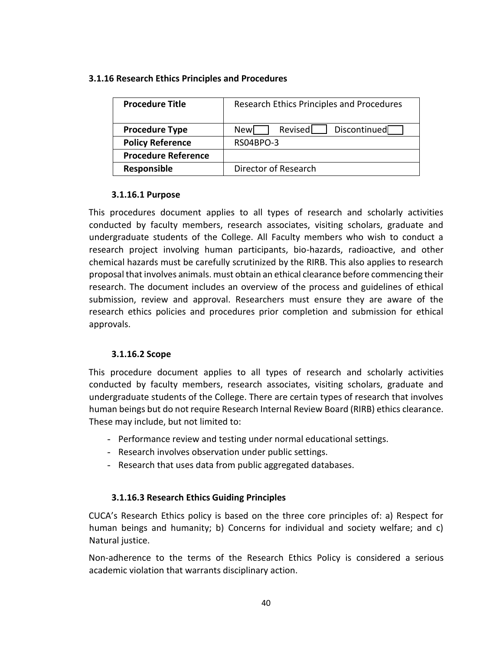#### <span id="page-39-0"></span>**3.1.16 Research Ethics Principles and Procedures**

| <b>Procedure Title</b>     | Research Ethics Principles and Procedures |
|----------------------------|-------------------------------------------|
| <b>Procedure Type</b>      | Discontinued<br>Revised<br>Newl           |
| <b>Policy Reference</b>    | RS04BPO-3                                 |
| <b>Procedure Reference</b> |                                           |
| Responsible                | Director of Research                      |

## **3.1.16.1 Purpose**

This procedures document applies to all types of research and scholarly activities conducted by faculty members, research associates, visiting scholars, graduate and undergraduate students of the College. All Faculty members who wish to conduct a research project involving human participants, bio-hazards, radioactive, and other chemical hazards must be carefully scrutinized by the RIRB. This also applies to research proposal that involves animals. must obtain an ethical clearance before commencing their research. The document includes an overview of the process and guidelines of ethical submission, review and approval. Researchers must ensure they are aware of the research ethics policies and procedures prior completion and submission for ethical approvals.

# **3.1.16.2 Scope**

This procedure document applies to all types of research and scholarly activities conducted by faculty members, research associates, visiting scholars, graduate and undergraduate students of the College. There are certain types of research that involves human beings but do not require Research Internal Review Board (RIRB) ethics clearance. These may include, but not limited to:

- Performance review and testing under normal educational settings.
- Research involves observation under public settings.
- Research that uses data from public aggregated databases.

# **3.1.16.3 Research Ethics Guiding Principles**

CUCA's Research Ethics policy is based on the three core principles of: a) Respect for human beings and humanity; b) Concerns for individual and society welfare; and c) Natural justice.

Non-adherence to the terms of the Research Ethics Policy is considered a serious academic violation that warrants disciplinary action.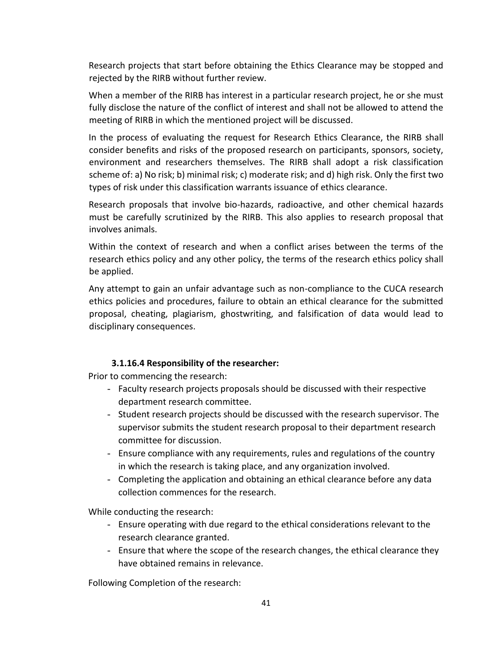Research projects that start before obtaining the Ethics Clearance may be stopped and rejected by the RIRB without further review.

When a member of the RIRB has interest in a particular research project, he or she must fully disclose the nature of the conflict of interest and shall not be allowed to attend the meeting of RIRB in which the mentioned project will be discussed.

In the process of evaluating the request for Research Ethics Clearance, the RIRB shall consider benefits and risks of the proposed research on participants, sponsors, society, environment and researchers themselves. The RIRB shall adopt a risk classification scheme of: a) No risk; b) minimal risk; c) moderate risk; and d) high risk. Only the first two types of risk under this classification warrants issuance of ethics clearance.

Research proposals that involve bio-hazards, radioactive, and other chemical hazards must be carefully scrutinized by the RIRB. This also applies to research proposal that involves animals.

Within the context of research and when a conflict arises between the terms of the research ethics policy and any other policy, the terms of the research ethics policy shall be applied.

Any attempt to gain an unfair advantage such as non-compliance to the CUCA research ethics policies and procedures, failure to obtain an ethical clearance for the submitted proposal, cheating, plagiarism, ghostwriting, and falsification of data would lead to disciplinary consequences.

# **3.1.16.4 Responsibility of the researcher:**

Prior to commencing the research:

- Faculty research projects proposals should be discussed with their respective department research committee.
- Student research projects should be discussed with the research supervisor. The supervisor submits the student research proposal to their department research committee for discussion.
- Ensure compliance with any requirements, rules and regulations of the country in which the research is taking place, and any organization involved.
- Completing the application and obtaining an ethical clearance before any data collection commences for the research.

While conducting the research:

- Ensure operating with due regard to the ethical considerations relevant to the research clearance granted.
- Ensure that where the scope of the research changes, the ethical clearance they have obtained remains in relevance.

Following Completion of the research: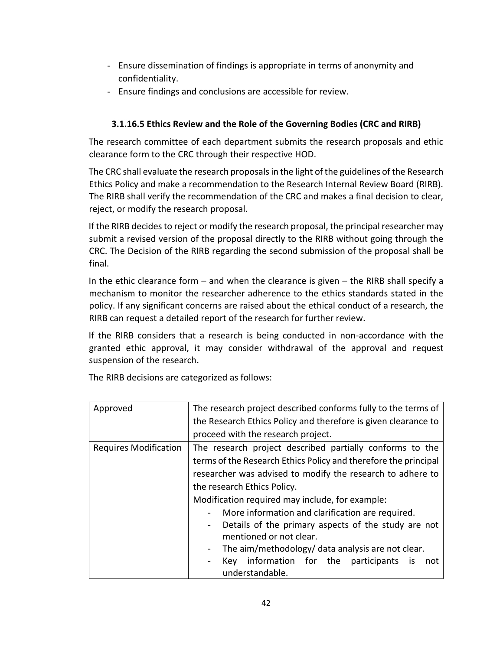- Ensure dissemination of findings is appropriate in terms of anonymity and confidentiality.
- Ensure findings and conclusions are accessible for review.

# **3.1.16.5 Ethics Review and the Role of the Governing Bodies (CRC and RIRB)**

The research committee of each department submits the research proposals and ethic clearance form to the CRC through their respective HOD.

The CRC shall evaluate the research proposals in the light of the guidelines of the Research Ethics Policy and make a recommendation to the Research Internal Review Board (RIRB). The RIRB shall verify the recommendation of the CRC and makes a final decision to clear, reject, or modify the research proposal.

If the RIRB decides to reject or modify the research proposal, the principal researcher may submit a revised version of the proposal directly to the RIRB without going through the CRC. The Decision of the RIRB regarding the second submission of the proposal shall be final.

In the ethic clearance form – and when the clearance is given – the RIRB shall specify a mechanism to monitor the researcher adherence to the ethics standards stated in the policy. If any significant concerns are raised about the ethical conduct of a research, the RIRB can request a detailed report of the research for further review.

If the RIRB considers that a research is being conducted in non-accordance with the granted ethic approval, it may consider withdrawal of the approval and request suspension of the research.

The RIRB decisions are categorized as follows:

| Approved                     | The research project described conforms fully to the terms of         |  |  |  |  |  |  |
|------------------------------|-----------------------------------------------------------------------|--|--|--|--|--|--|
|                              | the Research Ethics Policy and therefore is given clearance to        |  |  |  |  |  |  |
|                              | proceed with the research project.                                    |  |  |  |  |  |  |
| <b>Requires Modification</b> | The research project described partially conforms to the              |  |  |  |  |  |  |
|                              | terms of the Research Ethics Policy and therefore the principal       |  |  |  |  |  |  |
|                              | researcher was advised to modify the research to adhere to            |  |  |  |  |  |  |
|                              | the research Ethics Policy.                                           |  |  |  |  |  |  |
|                              | Modification required may include, for example:                       |  |  |  |  |  |  |
|                              | More information and clarification are required.                      |  |  |  |  |  |  |
|                              | Details of the primary aspects of the study are not<br>$\blacksquare$ |  |  |  |  |  |  |
|                              | mentioned or not clear.                                               |  |  |  |  |  |  |
|                              | The aim/methodology/ data analysis are not clear.<br>$\blacksquare$   |  |  |  |  |  |  |
|                              | Key information for the participants is<br>not                        |  |  |  |  |  |  |
|                              | understandable.                                                       |  |  |  |  |  |  |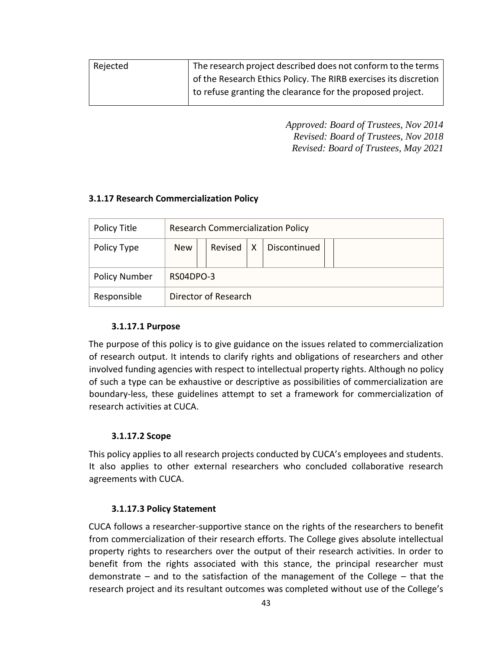| Rejected | The research project described does not conform to the terms     |
|----------|------------------------------------------------------------------|
|          | of the Research Ethics Policy. The RIRB exercises its discretion |
|          | to refuse granting the clearance for the proposed project.       |

*Approved: Board of Trustees, Nov 2014 Revised: Board of Trustees, Nov 2018 Revised: Board of Trustees, May 2021* 

## <span id="page-42-0"></span>**3.1.17 Research Commercialization Policy**

| Policy Title         | <b>Research Commercialization Policy</b> |           |   |              |  |
|----------------------|------------------------------------------|-----------|---|--------------|--|
| Policy Type          | <b>New</b>                               | Revised   | X | Discontinued |  |
| <b>Policy Number</b> |                                          | RS04DPO-3 |   |              |  |
| Responsible          | Director of Research                     |           |   |              |  |

#### **3.1.17.1 Purpose**

The purpose of this policy is to give guidance on the issues related to commercialization of research output. It intends to clarify rights and obligations of researchers and other involved funding agencies with respect to intellectual property rights. Although no policy of such a type can be exhaustive or descriptive as possibilities of commercialization are boundary-less, these guidelines attempt to set a framework for commercialization of research activities at CUCA.

#### **3.1.17.2 Scope**

This policy applies to all research projects conducted by CUCA's employees and students. It also applies to other external researchers who concluded collaborative research agreements with CUCA.

#### **3.1.17.3 Policy Statement**

CUCA follows a researcher-supportive stance on the rights of the researchers to benefit from commercialization of their research efforts. The College gives absolute intellectual property rights to researchers over the output of their research activities. In order to benefit from the rights associated with this stance, the principal researcher must demonstrate – and to the satisfaction of the management of the College – that the research project and its resultant outcomes was completed without use of the College's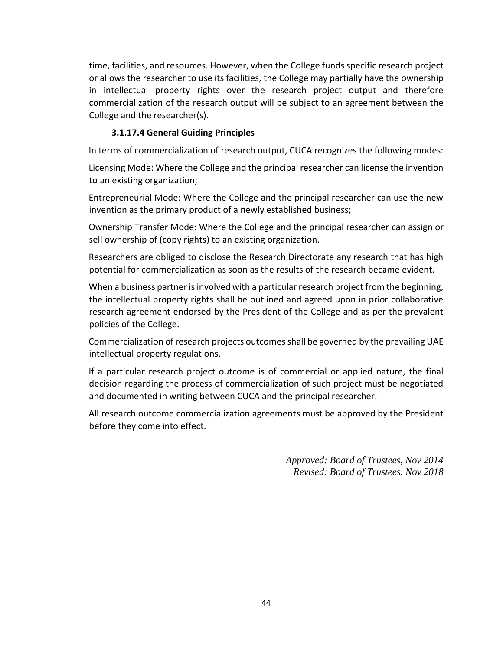time, facilities, and resources. However, when the College funds specific research project or allows the researcher to use its facilities, the College may partially have the ownership in intellectual property rights over the research project output and therefore commercialization of the research output will be subject to an agreement between the College and the researcher(s).

## **3.1.17.4 General Guiding Principles**

In terms of commercialization of research output, CUCA recognizes the following modes:

Licensing Mode: Where the College and the principal researcher can license the invention to an existing organization;

Entrepreneurial Mode: Where the College and the principal researcher can use the new invention as the primary product of a newly established business;

Ownership Transfer Mode: Where the College and the principal researcher can assign or sell ownership of (copy rights) to an existing organization.

Researchers are obliged to disclose the Research Directorate any research that has high potential for commercialization as soon as the results of the research became evident.

When a business partner is involved with a particular research project from the beginning, the intellectual property rights shall be outlined and agreed upon in prior collaborative research agreement endorsed by the President of the College and as per the prevalent policies of the College.

Commercialization of research projects outcomes shall be governed by the prevailing UAE intellectual property regulations.

If a particular research project outcome is of commercial or applied nature, the final decision regarding the process of commercialization of such project must be negotiated and documented in writing between CUCA and the principal researcher.

All research outcome commercialization agreements must be approved by the President before they come into effect.

> *Approved: Board of Trustees, Nov 2014 Revised: Board of Trustees, Nov 2018*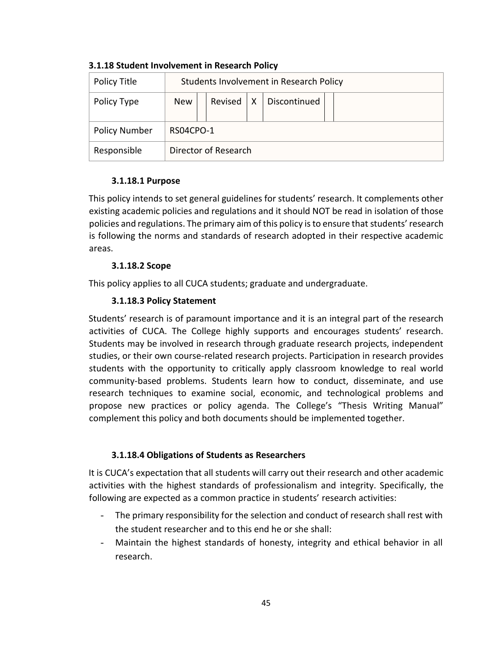| Policy Title         | Students Involvement in Research Policy |                                   |  |  |  |  |
|----------------------|-----------------------------------------|-----------------------------------|--|--|--|--|
| Policy Type          | <b>New</b>                              | Discontinued<br>Revised $\vert$ X |  |  |  |  |
| <b>Policy Number</b> |                                         | RS04CPO-1                         |  |  |  |  |
| Responsible          | Director of Research                    |                                   |  |  |  |  |

#### <span id="page-44-0"></span>**3.1.18 Student Involvement in Research Policy**

## **3.1.18.1 Purpose**

This policy intends to set general guidelines for students' research. It complements other existing academic policies and regulations and it should NOT be read in isolation of those policies and regulations. The primary aim of this policy is to ensure that students' research is following the norms and standards of research adopted in their respective academic areas.

# **3.1.18.2 Scope**

This policy applies to all CUCA students; graduate and undergraduate.

## **3.1.18.3 Policy Statement**

Students' research is of paramount importance and it is an integral part of the research activities of CUCA. The College highly supports and encourages students' research. Students may be involved in research through graduate research projects, independent studies, or their own course-related research projects. Participation in research provides students with the opportunity to critically apply classroom knowledge to real world community-based problems. Students learn how to conduct, disseminate, and use research techniques to examine social, economic, and technological problems and propose new practices or policy agenda. The College's "Thesis Writing Manual" complement this policy and both documents should be implemented together.

#### **3.1.18.4 Obligations of Students as Researchers**

It is CUCA's expectation that all students will carry out their research and other academic activities with the highest standards of professionalism and integrity. Specifically, the following are expected as a common practice in students' research activities:

- The primary responsibility for the selection and conduct of research shall rest with the student researcher and to this end he or she shall:
- Maintain the highest standards of honesty, integrity and ethical behavior in all research.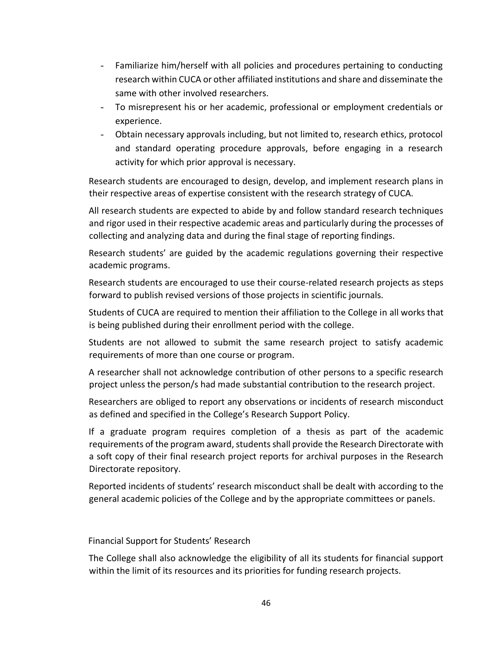- Familiarize him/herself with all policies and procedures pertaining to conducting research within CUCA or other affiliated institutions and share and disseminate the same with other involved researchers.
- To misrepresent his or her academic, professional or employment credentials or experience.
- Obtain necessary approvals including, but not limited to, research ethics, protocol and standard operating procedure approvals, before engaging in a research activity for which prior approval is necessary.

Research students are encouraged to design, develop, and implement research plans in their respective areas of expertise consistent with the research strategy of CUCA.

All research students are expected to abide by and follow standard research techniques and rigor used in their respective academic areas and particularly during the processes of collecting and analyzing data and during the final stage of reporting findings.

Research students' are guided by the academic regulations governing their respective academic programs.

Research students are encouraged to use their course-related research projects as steps forward to publish revised versions of those projects in scientific journals.

Students of CUCA are required to mention their affiliation to the College in all works that is being published during their enrollment period with the college.

Students are not allowed to submit the same research project to satisfy academic requirements of more than one course or program.

A researcher shall not acknowledge contribution of other persons to a specific research project unless the person/s had made substantial contribution to the research project.

Researchers are obliged to report any observations or incidents of research misconduct as defined and specified in the College's Research Support Policy.

If a graduate program requires completion of a thesis as part of the academic requirements of the program award, students shall provide the Research Directorate with a soft copy of their final research project reports for archival purposes in the Research Directorate repository.

Reported incidents of students' research misconduct shall be dealt with according to the general academic policies of the College and by the appropriate committees or panels.

Financial Support for Students' Research

The College shall also acknowledge the eligibility of all its students for financial support within the limit of its resources and its priorities for funding research projects.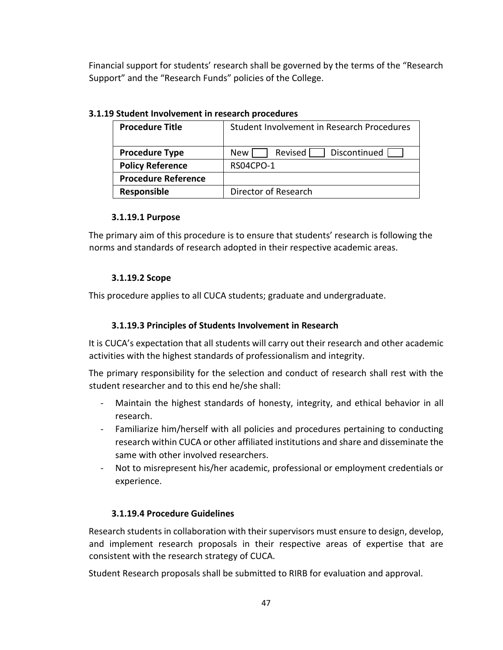Financial support for students' research shall be governed by the terms of the "Research Support" and the "Research Funds" policies of the College.

| <b>Procedure Title</b>     | Student Involvement in Research Procedures |  |  |  |  |  |
|----------------------------|--------------------------------------------|--|--|--|--|--|
| <b>Procedure Type</b>      | Revised<br>Discontinued<br>New             |  |  |  |  |  |
| <b>Policy Reference</b>    | RS04CPO-1                                  |  |  |  |  |  |
| <b>Procedure Reference</b> |                                            |  |  |  |  |  |
| Responsible                | Director of Research                       |  |  |  |  |  |

# <span id="page-46-0"></span>**3.1.19 Student Involvement in research procedures**

## **3.1.19.1 Purpose**

The primary aim of this procedure is to ensure that students' research is following the norms and standards of research adopted in their respective academic areas.

# **3.1.19.2 Scope**

This procedure applies to all CUCA students; graduate and undergraduate.

# **3.1.19.3 Principles of Students Involvement in Research**

It is CUCA's expectation that all students will carry out their research and other academic activities with the highest standards of professionalism and integrity.

The primary responsibility for the selection and conduct of research shall rest with the student researcher and to this end he/she shall:

- Maintain the highest standards of honesty, integrity, and ethical behavior in all research.
- Familiarize him/herself with all policies and procedures pertaining to conducting research within CUCA or other affiliated institutions and share and disseminate the same with other involved researchers.
- Not to misrepresent his/her academic, professional or employment credentials or experience.

# **3.1.19.4 Procedure Guidelines**

Research students in collaboration with their supervisors must ensure to design, develop, and implement research proposals in their respective areas of expertise that are consistent with the research strategy of CUCA.

Student Research proposals shall be submitted to RIRB for evaluation and approval.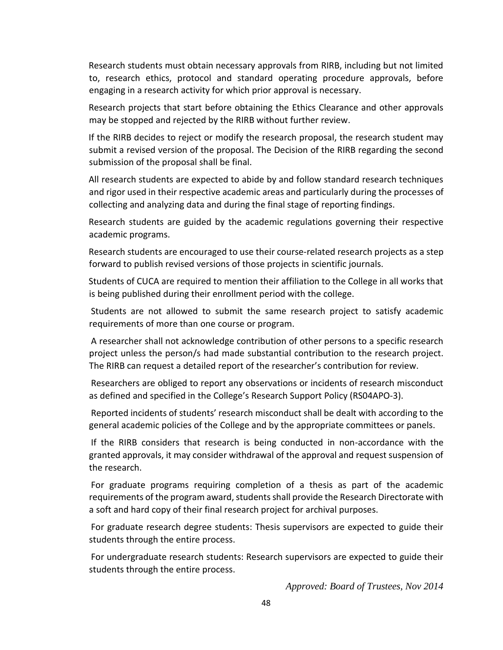Research students must obtain necessary approvals from RIRB, including but not limited to, research ethics, protocol and standard operating procedure approvals, before engaging in a research activity for which prior approval is necessary.

Research projects that start before obtaining the Ethics Clearance and other approvals may be stopped and rejected by the RIRB without further review.

If the RIRB decides to reject or modify the research proposal, the research student may submit a revised version of the proposal. The Decision of the RIRB regarding the second submission of the proposal shall be final.

All research students are expected to abide by and follow standard research techniques and rigor used in their respective academic areas and particularly during the processes of collecting and analyzing data and during the final stage of reporting findings.

Research students are guided by the academic regulations governing their respective academic programs.

Research students are encouraged to use their course-related research projects as a step forward to publish revised versions of those projects in scientific journals.

Students of CUCA are required to mention their affiliation to the College in all works that is being published during their enrollment period with the college.

Students are not allowed to submit the same research project to satisfy academic requirements of more than one course or program.

A researcher shall not acknowledge contribution of other persons to a specific research project unless the person/s had made substantial contribution to the research project. The RIRB can request a detailed report of the researcher's contribution for review.

Researchers are obliged to report any observations or incidents of research misconduct as defined and specified in the College's Research Support Policy (RS04APO‐3).

Reported incidents of students' research misconduct shall be dealt with according to the general academic policies of the College and by the appropriate committees or panels.

If the RIRB considers that research is being conducted in non-accordance with the granted approvals, it may consider withdrawal of the approval and request suspension of the research.

For graduate programs requiring completion of a thesis as part of the academic requirements of the program award, students shall provide the Research Directorate with a soft and hard copy of their final research project for archival purposes.

For graduate research degree students: Thesis supervisors are expected to guide their students through the entire process.

For undergraduate research students: Research supervisors are expected to guide their students through the entire process.

*Approved: Board of Trustees, Nov 2014*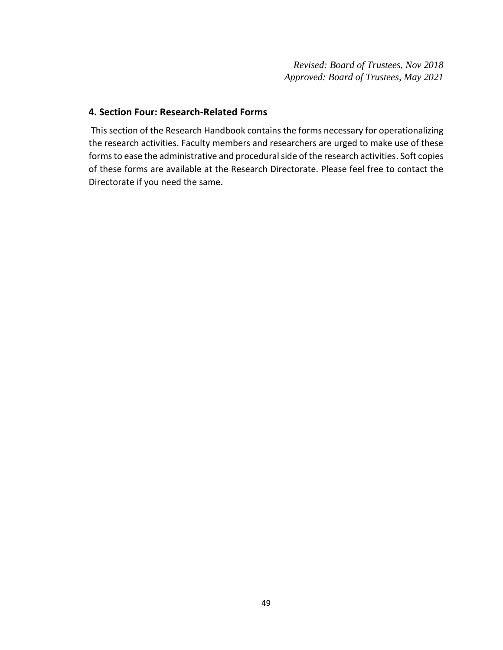*Revised: Board of Trustees, Nov 2018 Approved: Board of Trustees, May 2021* 

## <span id="page-48-0"></span>**4. Section Four: Research-Related Forms**

This section of the Research Handbook contains the forms necessary for operationalizing the research activities. Faculty members and researchers are urged to make use of these forms to ease the administrative and procedural side of the research activities. Soft copies of these forms are available at the Research Directorate. Please feel free to contact the Directorate if you need the same.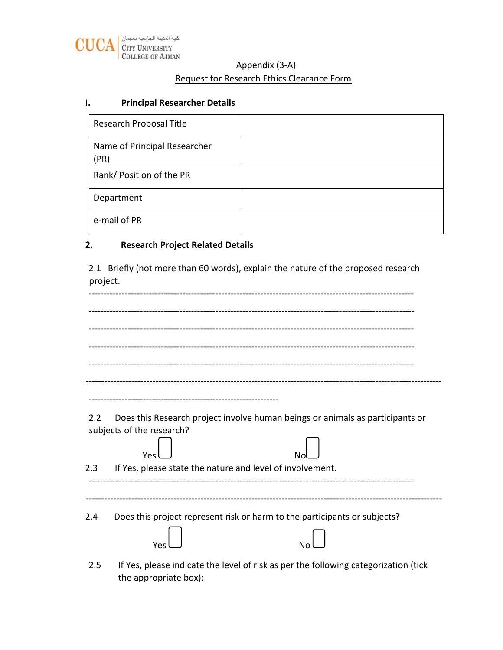

# Appendix (3-A)

# Request for Research Ethics Clearance Form

## <span id="page-49-0"></span>**I. Principal Researcher Details**

| Research Proposal Title              |  |
|--------------------------------------|--|
| Name of Principal Researcher<br>(PR) |  |
| Rank/ Position of the PR             |  |
| Department                           |  |
| e-mail of PR                         |  |

## <span id="page-49-1"></span>**2. Research Project Related Details**

2.1 Briefly (not more than 60 words), explain the nature of the proposed research project.

| 2.2 | Does this Research project involve human beings or animals as participants or       |
|-----|-------------------------------------------------------------------------------------|
|     | subjects of the research?<br>Yes                                                    |
| 2.3 | If Yes, please state the nature and level of involvement.                           |
|     |                                                                                     |
| 2.4 | Does this project represent risk or harm to the participants or subjects?           |
|     | No<br>Yes                                                                           |
|     | If yes please indicate the level of rick as nor the following sategorization (tick) |

2.5 If Yes, please indicate the level of risk as per the following categorization (tick the appropriate box):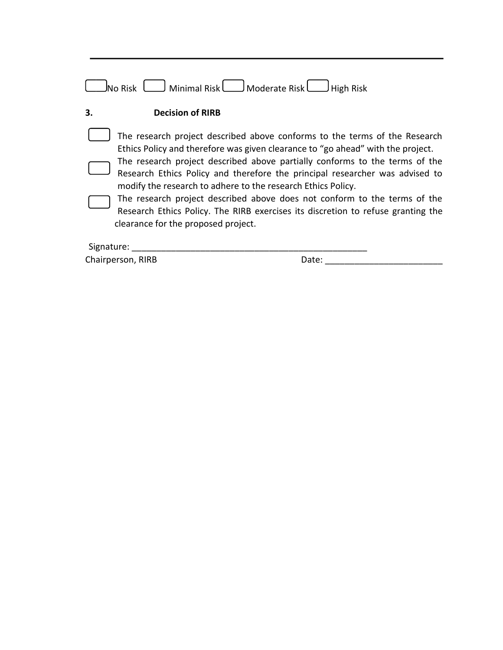<span id="page-50-0"></span>

| No Risk                             | Minimal Risk   Moderate Risk   Munimal Risk<br>High Risk                                                                                                                                                                                                                                                                                                                                                                                                                                                                                                      |
|-------------------------------------|---------------------------------------------------------------------------------------------------------------------------------------------------------------------------------------------------------------------------------------------------------------------------------------------------------------------------------------------------------------------------------------------------------------------------------------------------------------------------------------------------------------------------------------------------------------|
| 3.<br><b>Decision of RIRB</b>       |                                                                                                                                                                                                                                                                                                                                                                                                                                                                                                                                                               |
| clearance for the proposed project. | The research project described above conforms to the terms of the Research<br>Ethics Policy and therefore was given clearance to "go ahead" with the project.<br>The research project described above partially conforms to the terms of the<br>Research Ethics Policy and therefore the principal researcher was advised to<br>modify the research to adhere to the research Ethics Policy.<br>The research project described above does not conform to the terms of the<br>Research Ethics Policy. The RIRB exercises its discretion to refuse granting the |
| Signature:                          |                                                                                                                                                                                                                                                                                                                                                                                                                                                                                                                                                               |
| Chairperson, RIRB                   | Date:                                                                                                                                                                                                                                                                                                                                                                                                                                                                                                                                                         |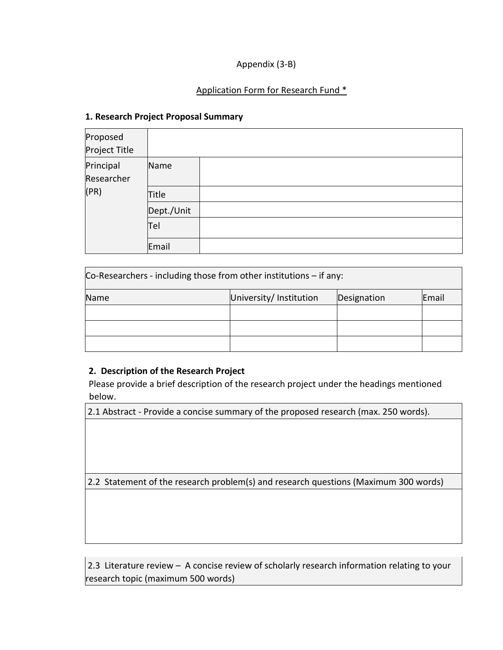# Appendix (3-B)

# Application Form for Research Fund \*

#### <span id="page-51-0"></span>**1. Research Project Proposal Summary**

| Proposed<br>Project Title |              |  |
|---------------------------|--------------|--|
| Principal<br>Researcher   | Name         |  |
| (PR)                      | <b>Title</b> |  |
|                           | Dept./Unit   |  |
|                           | Tel          |  |
|                           | Email        |  |

| Co-Researchers - including those from other institutions $-$ if any: |                        |             |       |
|----------------------------------------------------------------------|------------------------|-------------|-------|
| Name                                                                 | University/Institution | Designation | Email |
|                                                                      |                        |             |       |
|                                                                      |                        |             |       |
|                                                                      |                        |             |       |

# <span id="page-51-1"></span>**2. Description of the Research Project**

Please provide a brief description of the research project under the headings mentioned below.

2.1 Abstract - Provide a concise summary of the proposed research (max. 250 words).

2.2 Statement of the research problem(s) and research questions (Maximum 300 words)

2.3 Literature review – A concise review of scholarly research information relating to your research topic (maximum 500 words)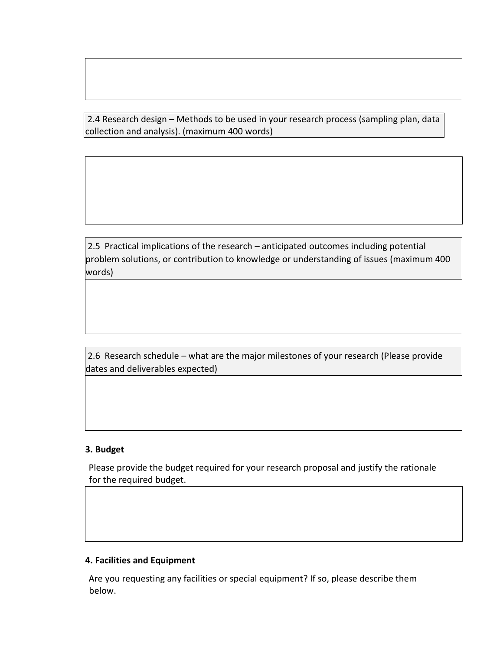2.4 Research design – Methods to be used in your research process (sampling plan, data collection and analysis). (maximum 400 words)

2.5 Practical implications of the research – anticipated outcomes including potential problem solutions, or contribution to knowledge or understanding of issues (maximum 400 words)

2.6 Research schedule – what are the major milestones of your research (Please provide dates and deliverables expected)

#### <span id="page-52-0"></span>**3. Budget**

Please provide the budget required for your research proposal and justify the rationale for the required budget.

# <span id="page-52-1"></span>**4. Facilities and Equipment**

Are you requesting any facilities or special equipment? If so, please describe them below.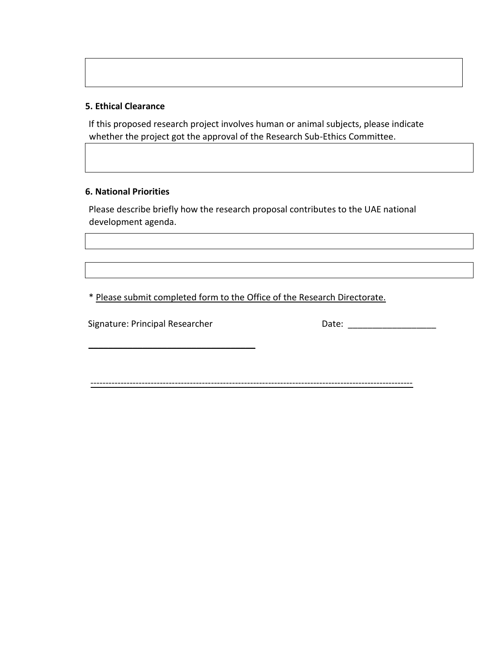#### <span id="page-53-0"></span>**5. Ethical Clearance**

If this proposed research project involves human or animal subjects, please indicate whether the project got the approval of the Research Sub-Ethics Committee.

## <span id="page-53-1"></span>**6. National Priorities**

Please describe briefly how the research proposal contributes to the UAE national development agenda.

\* Please submit completed form to the Office of the Research Directorate.

Signature: Principal Researcher Date: \_\_\_\_\_\_\_\_\_\_\_\_\_\_\_\_\_\_

 $\mathcal{L}=\{1,2,3,4,5\}$ 

-----------------------------------------------------------------------------------------------------------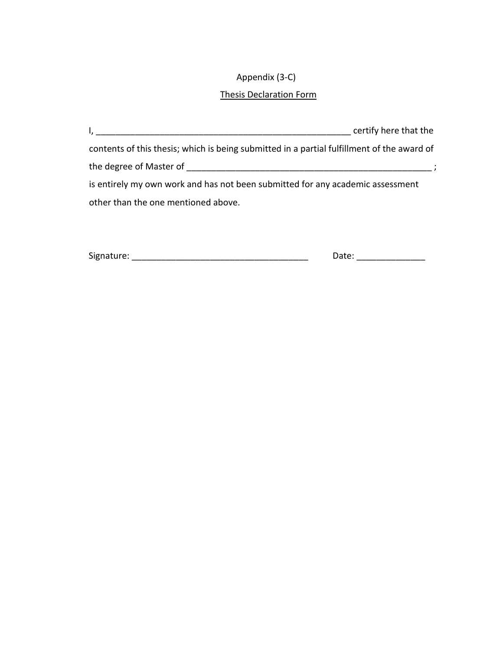# Appendix (3-C)

# Thesis Declaration Form

| Signature: | udle. |
|------------|-------|
|------------|-------|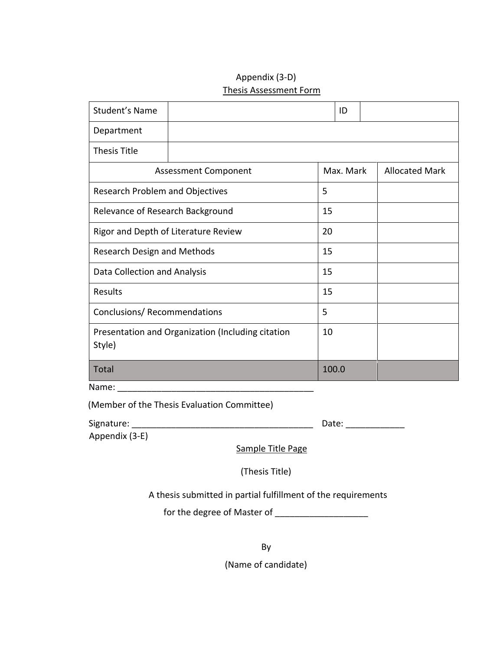# Appendix (3-D) Thesis Assessment Form

| Student's Name                         |                                                   |       | ID        |                       |
|----------------------------------------|---------------------------------------------------|-------|-----------|-----------------------|
| Department                             |                                                   |       |           |                       |
| <b>Thesis Title</b>                    |                                                   |       |           |                       |
| <b>Assessment Component</b>            |                                                   |       | Max. Mark | <b>Allocated Mark</b> |
| <b>Research Problem and Objectives</b> |                                                   | 5     |           |                       |
| Relevance of Research Background       |                                                   | 15    |           |                       |
| Rigor and Depth of Literature Review   |                                                   | 20    |           |                       |
| Research Design and Methods            |                                                   | 15    |           |                       |
| Data Collection and Analysis           |                                                   | 15    |           |                       |
| Results                                |                                                   | 15    |           |                       |
| Conclusions/ Recommendations           |                                                   | 5     |           |                       |
| Style)                                 | Presentation and Organization (Including citation | 10    |           |                       |
| <b>Total</b>                           |                                                   | 100.0 |           |                       |

Name:

(Member of the Thesis Evaluation Committee)

| Signature: |  |
|------------|--|
|------------|--|

Signature: \_\_\_\_\_\_\_\_\_\_\_\_\_\_\_\_\_\_\_\_\_\_\_\_\_\_\_\_\_\_\_\_\_\_\_\_\_ Date: \_\_\_\_\_\_\_\_\_\_\_\_

Appendix (3-E)

Sample Title Page

(Thesis Title)

A thesis submitted in partial fulfillment of the requirements

for the degree of Master of \_\_\_\_\_\_\_\_\_\_\_\_\_\_\_\_\_\_\_

By

(Name of candidate)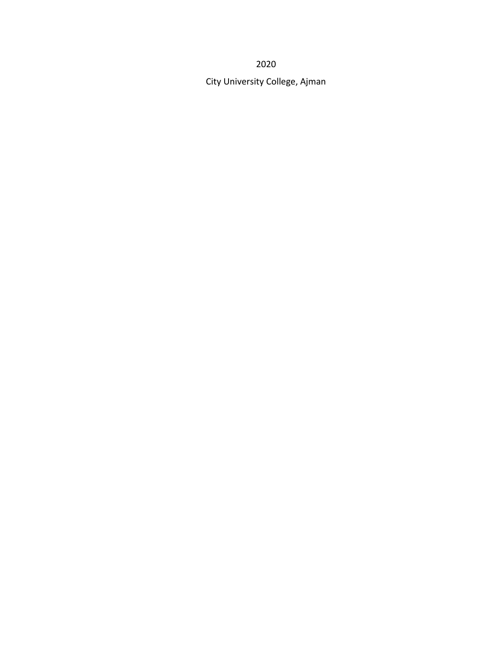2020

City University College, Ajman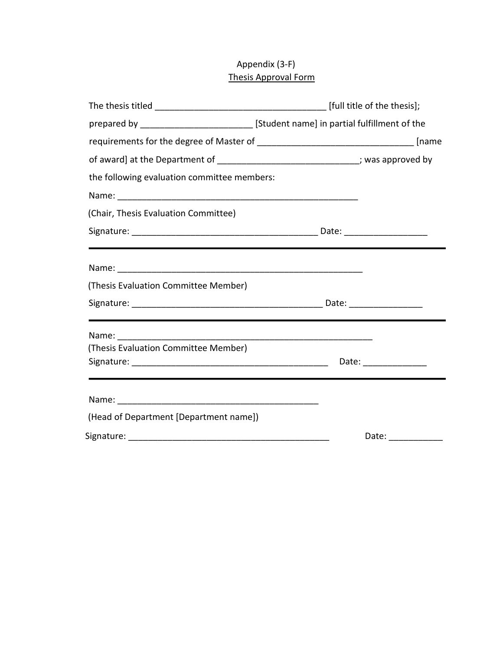# Appendix (3-F) Thesis Approval Form

|                                             | prepared by ___________________________ [Student name] in partial fulfillment of the                                                                                                                                           |
|---------------------------------------------|--------------------------------------------------------------------------------------------------------------------------------------------------------------------------------------------------------------------------------|
|                                             |                                                                                                                                                                                                                                |
|                                             | of award] at the Department of ________________________________; was approved by                                                                                                                                               |
| the following evaluation committee members: |                                                                                                                                                                                                                                |
|                                             |                                                                                                                                                                                                                                |
| (Chair, Thesis Evaluation Committee)        |                                                                                                                                                                                                                                |
|                                             |                                                                                                                                                                                                                                |
|                                             | <u> 1989 - Jan James Andreas Andreas Andreas Andreas Andreas Andreas Andreas Andreas Andreas Andreas Andreas Andr</u>                                                                                                          |
|                                             |                                                                                                                                                                                                                                |
| (Thesis Evaluation Committee Member)        |                                                                                                                                                                                                                                |
|                                             |                                                                                                                                                                                                                                |
|                                             |                                                                                                                                                                                                                                |
|                                             |                                                                                                                                                                                                                                |
| (Thesis Evaluation Committee Member)        |                                                                                                                                                                                                                                |
|                                             |                                                                                                                                                                                                                                |
|                                             |                                                                                                                                                                                                                                |
| (Head of Department [Department name])      |                                                                                                                                                                                                                                |
|                                             | Date: the contract of the contract of the contract of the contract of the contract of the contract of the contract of the contract of the contract of the contract of the contract of the contract of the contract of the cont |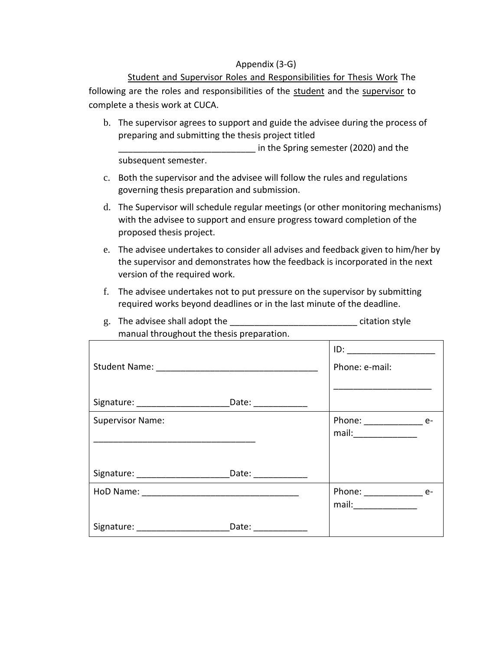#### Appendix (3-G)

Student and Supervisor Roles and Responsibilities for Thesis Work The following are the roles and responsibilities of the student and the supervisor to complete a thesis work at CUCA.

b. The supervisor agrees to support and guide the advisee during the process of preparing and submitting the thesis project titled

\_\_\_\_\_\_\_\_\_\_\_\_\_\_\_\_\_\_\_\_\_\_\_\_\_\_\_\_ in the Spring semester (2020) and the subsequent semester.

- c. Both the supervisor and the advisee will follow the rules and regulations governing thesis preparation and submission.
- d. The Supervisor will schedule regular meetings (or other monitoring mechanisms) with the advisee to support and ensure progress toward completion of the proposed thesis project.
- e. The advisee undertakes to consider all advises and feedback given to him/her by the supervisor and demonstrates how the feedback is incorporated in the next version of the required work.
- f. The advisee undertakes not to put pressure on the supervisor by submitting required works beyond deadlines or in the last minute of the deadline.

| manual un'oughout the thesis preparation.                                        |                    |                                                                                                                         |
|----------------------------------------------------------------------------------|--------------------|-------------------------------------------------------------------------------------------------------------------------|
|                                                                                  |                    | $ID: \begin{tabular}{ c c c } \hline \quad \quad & \quad \quad & \quad \quad \\ \hline \end{tabular}$<br>Phone: e-mail: |
| Signature: __________________________________Date: _____________________________ |                    |                                                                                                                         |
| <b>Supervisor Name:</b>                                                          |                    | Phone: _________________ e-                                                                                             |
| Signature: _________________________________Date: ______________________________ |                    |                                                                                                                         |
|                                                                                  |                    | Phone: ________________ e-                                                                                              |
|                                                                                  | Date: ____________ |                                                                                                                         |

g. The advisee shall adopt the equation style citation style manual throughout the thesis preparation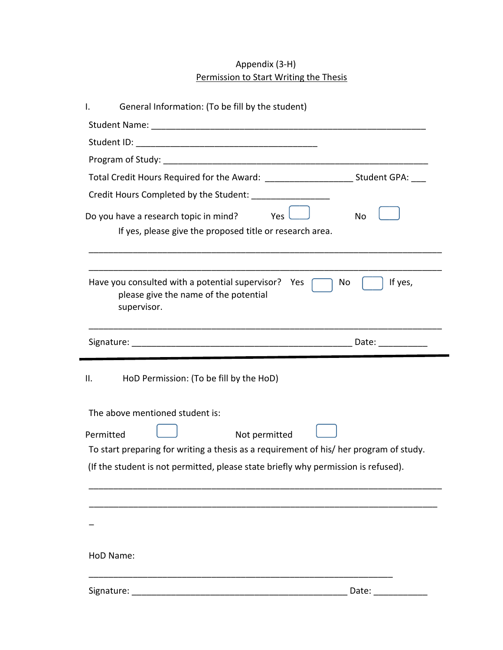# Appendix (3-H) Permission to Start Writing the Thesis

| General Information: (To be fill by the student)<br>I.                                   |                      |
|------------------------------------------------------------------------------------------|----------------------|
|                                                                                          |                      |
|                                                                                          |                      |
|                                                                                          |                      |
| Total Credit Hours Required for the Award: ___________________________Student GPA: ___   |                      |
| Credit Hours Completed by the Student:                                                   |                      |
| Do you have a research topic in mind? Yes $\sqrt{ }$                                     | No                   |
| If yes, please give the proposed title or research area.                                 |                      |
|                                                                                          |                      |
|                                                                                          |                      |
| Have you consulted with a potential supervisor?<br>please give the name of the potential | No<br>If yes,<br>Yes |
| supervisor.                                                                              |                      |
|                                                                                          |                      |
|                                                                                          |                      |
|                                                                                          |                      |
| HoD Permission: (To be fill by the HoD)<br>Ш.                                            |                      |
|                                                                                          |                      |
| The above mentioned student is:                                                          |                      |
| Not permitted<br>Permitted                                                               |                      |
| To start preparing for writing a thesis as a requirement of his/ her program of study.   |                      |
| (If the student is not permitted, please state briefly why permission is refused).       |                      |
|                                                                                          |                      |
|                                                                                          |                      |
|                                                                                          |                      |
|                                                                                          |                      |
|                                                                                          |                      |
|                                                                                          |                      |
| HoD Name:                                                                                |                      |
| Signature:                                                                               | Date:                |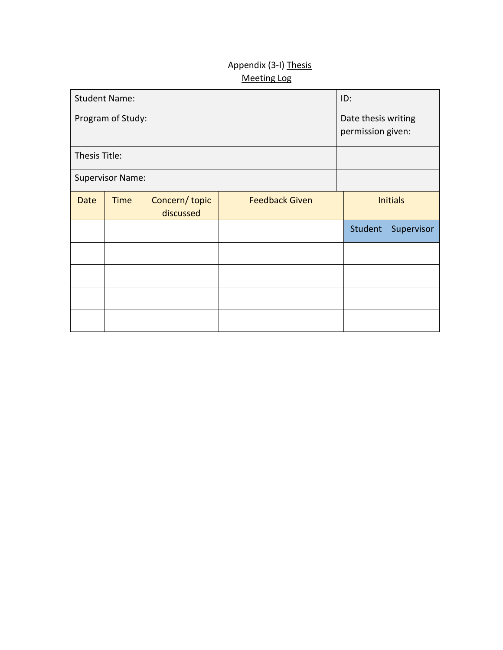# Appendix (3-I) Thesis Meeting Log

|               | <b>Student Name:</b>    | ID:                                      |                       |                 |            |
|---------------|-------------------------|------------------------------------------|-----------------------|-----------------|------------|
|               | Program of Study:       | Date thesis writing<br>permission given: |                       |                 |            |
| Thesis Title: |                         |                                          |                       |                 |            |
|               | <b>Supervisor Name:</b> |                                          |                       |                 |            |
| <b>Date</b>   | <b>Time</b>             | Concern/topic<br>discussed               | <b>Feedback Given</b> | <b>Initials</b> |            |
|               |                         |                                          |                       | Student         | Supervisor |
|               |                         |                                          |                       |                 |            |
|               |                         |                                          |                       |                 |            |
|               |                         |                                          |                       |                 |            |
|               |                         |                                          |                       |                 |            |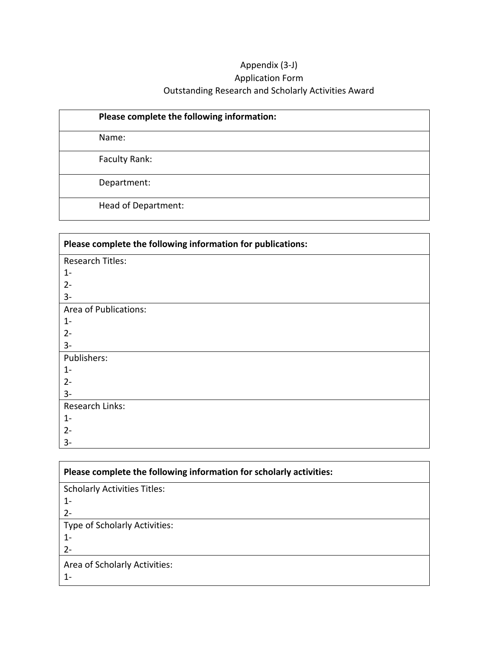# Appendix (3-J) Application Form Outstanding Research and Scholarly Activities Award

| Please complete the following information: |  |
|--------------------------------------------|--|
| Name:                                      |  |
| Faculty Rank:                              |  |
| Department:                                |  |
| Head of Department:                        |  |

| Please complete the following information for publications: |  |  |  |  |
|-------------------------------------------------------------|--|--|--|--|
| Research Titles:                                            |  |  |  |  |
| $1 -$                                                       |  |  |  |  |
| $2 -$                                                       |  |  |  |  |
| $3-$                                                        |  |  |  |  |
| Area of Publications:                                       |  |  |  |  |
| $1 -$                                                       |  |  |  |  |
| $2 -$                                                       |  |  |  |  |
| $3-$                                                        |  |  |  |  |
| Publishers:                                                 |  |  |  |  |
| $1 -$                                                       |  |  |  |  |
| $2 -$                                                       |  |  |  |  |
| $3-$                                                        |  |  |  |  |
| Research Links:                                             |  |  |  |  |
| $1 -$                                                       |  |  |  |  |
| $2 -$                                                       |  |  |  |  |
| $3-$                                                        |  |  |  |  |

| Please complete the following information for scholarly activities: |  |  |  |  |  |
|---------------------------------------------------------------------|--|--|--|--|--|
| <b>Scholarly Activities Titles:</b>                                 |  |  |  |  |  |
| $1 -$                                                               |  |  |  |  |  |
| $2 -$                                                               |  |  |  |  |  |
| Type of Scholarly Activities:                                       |  |  |  |  |  |
| $1 -$                                                               |  |  |  |  |  |
| $2 -$                                                               |  |  |  |  |  |
| Area of Scholarly Activities:                                       |  |  |  |  |  |
| $1-$                                                                |  |  |  |  |  |

 $\overline{\phantom{0}}$